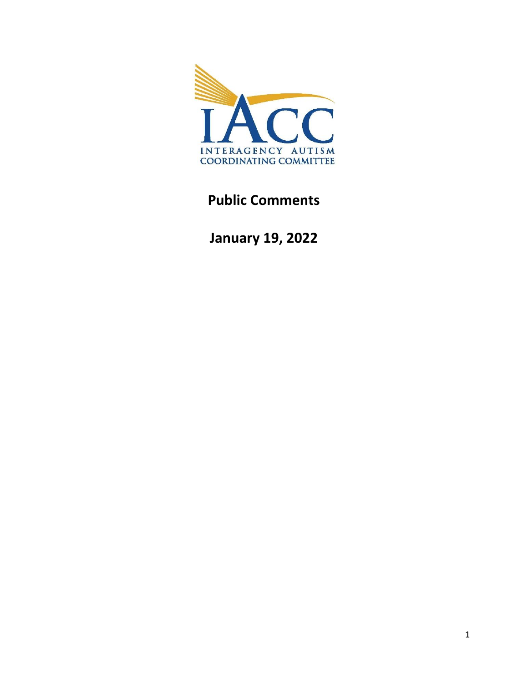

# **Public Comments**

**January 19, 2022**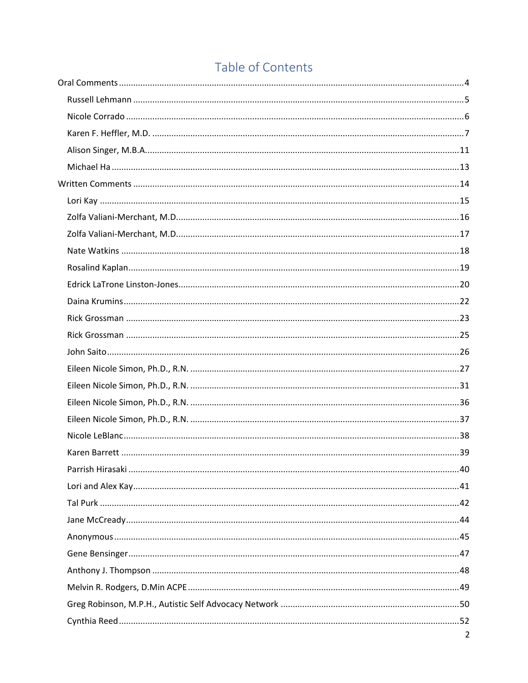# Table of Contents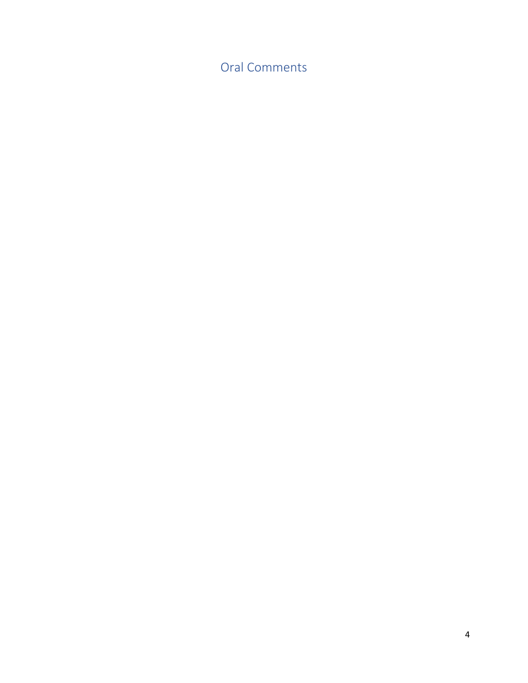<span id="page-3-0"></span>Oral Comments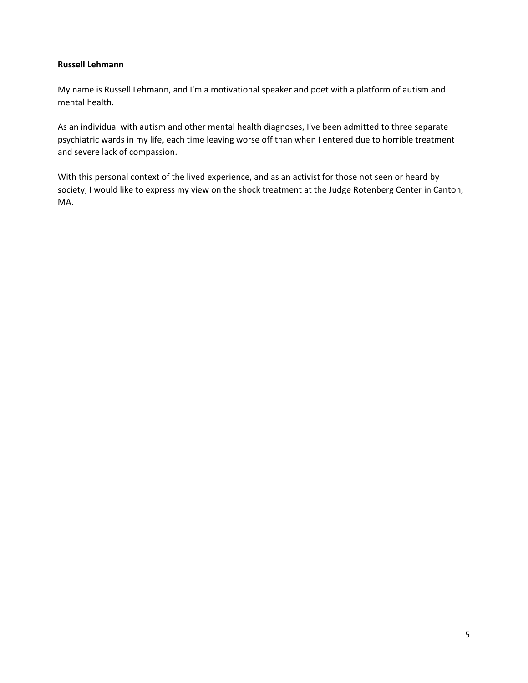# <span id="page-4-0"></span>**Russell Lehmann**

My name is Russell Lehmann, and I'm a motivational speaker and poet with a platform of autism and mental health.

As an individual with autism and other mental health diagnoses, I've been admitted to three separate psychiatric wards in my life, each time leaving worse off than when I entered due to horrible treatment and severe lack of compassion.

With this personal context of the lived experience, and as an activist for those not seen or heard by society, I would like to express my view on the shock treatment at the Judge Rotenberg Center in Canton, MA.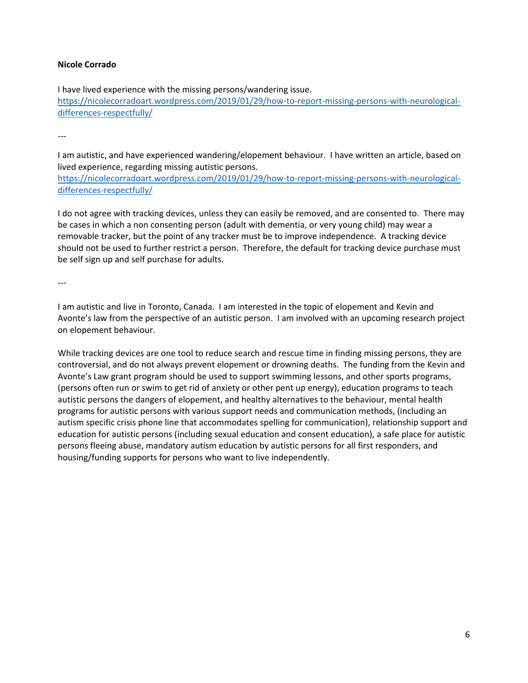# <span id="page-5-0"></span>**Nicole Corrado**

I have lived experience with the missing persons/wandering issue. [https://nicolecorradoart.wordpress.com/2019/01/29/how-to-report-missing-persons-with-neurological](https://nicolecorradoart.wordpress.com/2019/01/29/how-to-report-missing-persons-with-neurological-differences-respectfully/)[differences-respectfully/](https://nicolecorradoart.wordpress.com/2019/01/29/how-to-report-missing-persons-with-neurological-differences-respectfully/)

---

I am autistic, and have experienced wandering/elopement behaviour. I have written an article, based on lived experience, regarding missing autistic persons.

[https://nicolecorradoart.wordpress.com/2019/01/29/how-to-report-missing-persons-with-neurological](https://nicolecorradoart.wordpress.com/2019/01/29/how-to-report-missing-persons-with-neurological-differences-respectfully/)[differences-respectfully/](https://nicolecorradoart.wordpress.com/2019/01/29/how-to-report-missing-persons-with-neurological-differences-respectfully/)

I do not agree with tracking devices, unless they can easily be removed, and are consented to. There may be cases in which a non consenting person (adult with dementia, or very young child) may wear a removable tracker, but the point of any tracker must be to improve independence. A tracking device should not be used to further restrict a person. Therefore, the default for tracking device purchase must be self sign up and self purchase for adults.

---

I am autistic and live in Toronto, Canada. I am interested in the topic of elopement and Kevin and Avonte's law from the perspective of an autistic person. I am involved with an upcoming research project on elopement behaviour.

While tracking devices are one tool to reduce search and rescue time in finding missing persons, they are controversial, and do not always prevent elopement or drowning deaths. The funding from the Kevin and Avonte's Law grant program should be used to support swimming lessons, and other sports programs, (persons often run or swim to get rid of anxiety or other pent up energy), education programs to teach autistic persons the dangers of elopement, and healthy alternatives to the behaviour, mental health programs for autistic persons with various support needs and communication methods, (including an autism specific crisis phone line that accommodates spelling for communication), relationship support and education for autistic persons (including sexual education and consent education), a safe place for autistic persons fleeing abuse, mandatory autism education by autistic persons for all first responders, and housing/funding supports for persons who want to live independently.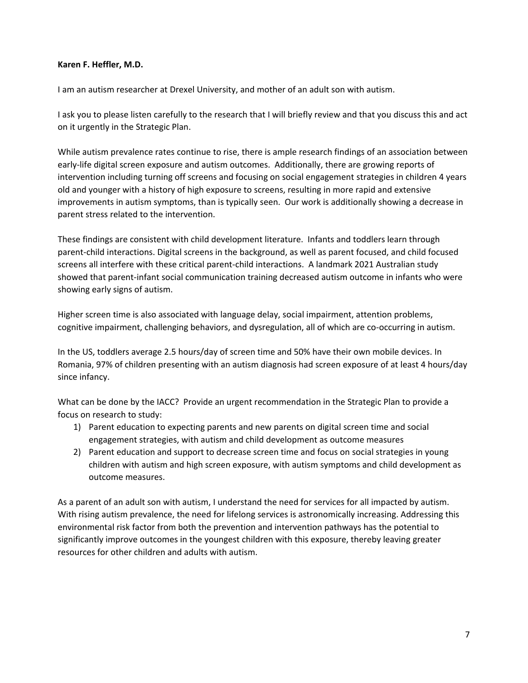# <span id="page-6-0"></span>**Karen F. Heffler, M.D.**

I am an autism researcher at Drexel University, and mother of an adult son with autism.

I ask you to please listen carefully to the research that I will briefly review and that you discuss this and act on it urgently in the Strategic Plan.

While autism prevalence rates continue to rise, there is ample research findings of an association between early-life digital screen exposure and autism outcomes. Additionally, there are growing reports of intervention including turning off screens and focusing on social engagement strategies in children 4 years old and younger with a history of high exposure to screens, resulting in more rapid and extensive improvements in autism symptoms, than is typically seen. Our work is additionally showing a decrease in parent stress related to the intervention.

These findings are consistent with child development literature. Infants and toddlers learn through parent-child interactions. Digital screens in the background, as well as parent focused, and child focused screens all interfere with these critical parent-child interactions. A landmark 2021 Australian study showed that parent-infant social communication training decreased autism outcome in infants who were showing early signs of autism.

Higher screen time is also associated with language delay, social impairment, attention problems, cognitive impairment, challenging behaviors, and dysregulation, all of which are co-occurring in autism.

In the US, toddlers average 2.5 hours/day of screen time and 50% have their own mobile devices. In Romania, 97% of children presenting with an autism diagnosis had screen exposure of at least 4 hours/day since infancy.

What can be done by the IACC? Provide an urgent recommendation in the Strategic Plan to provide a focus on research to study:

- 1) Parent education to expecting parents and new parents on digital screen time and social engagement strategies, with autism and child development as outcome measures
- 2) Parent education and support to decrease screen time and focus on social strategies in young children with autism and high screen exposure, with autism symptoms and child development as outcome measures.

As a parent of an adult son with autism, I understand the need for services for all impacted by autism. With rising autism prevalence, the need for lifelong services is astronomically increasing. Addressing this environmental risk factor from both the prevention and intervention pathways has the potential to significantly improve outcomes in the youngest children with this exposure, thereby leaving greater resources for other children and adults with autism.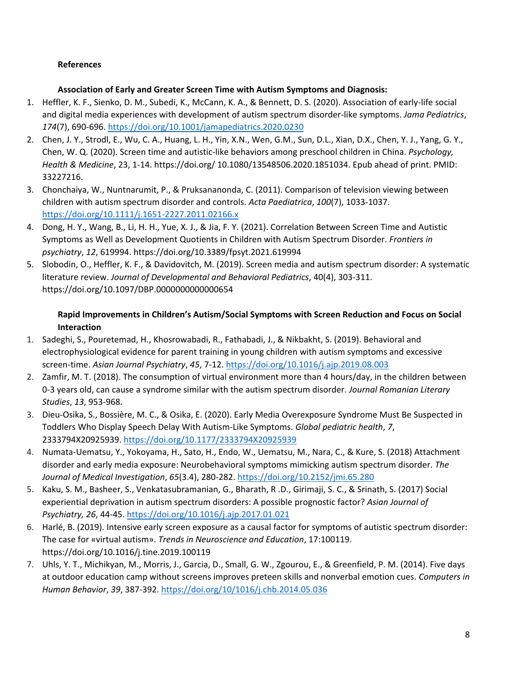# **References**

# **Association of Early and Greater Screen Time with Autism Symptoms and Diagnosis:**

- 1. Heffler, K. F., Sienko, D. M., Subedi, K., McCann, K. A., & Bennett, D. S. (2020). Association of early-life social and digital media experiences with development of autism spectrum disorder-like symptoms. *Jama Pediatrics*, *174*(7), 690-696.<https://doi.org/10.1001/jamapediatrics.2020.0230>
- 2. Chen, J. Y., Strodl, E., Wu, C. A., Huang, L. H., Yin, X.N., Wen, G.M., Sun, D.L., Xian, D.X., Chen, Y. J., Yang, G. Y., Chen, W. Q. (2020). Screen time and autistic-like behaviors among preschool children in China. *Psychology, Health & Medicine*, 23, 1-14. https://doi.org/ 10.1080/13548506.2020.1851034. Epub ahead of print. PMID: 33227216.
- 3. Chonchaiya, W., Nuntnarumit, P., & Pruksananonda, C. (2011). Comparison of television viewing between children with autism spectrum disorder and controls. *Acta Paediatrica*, *100*(7), 1033-1037. <https://doi.org/10.1111/j.1651-2227.2011.02166.x>
- 4. Dong, H. Y., Wang, B., Li, H. H., Yue, X. J., & Jia, F. Y. (2021). Correlation Between Screen Time and Autistic Symptoms as Well as Development Quotients in Children with Autism Spectrum Disorder. *Frontiers in psychiatry*, *12*, 619994. https://doi.org/10.3389/fpsyt.2021.619994
- 5. Slobodin, O., Heffler, K. F., & Davidovitch, M. (2019). Screen media and autism spectrum disorder: A systematic literature review. *Journal of Developmental and Behavioral Pediatrics*, 40(4), 303-311. https://doi.org/10.1097/DBP.0000000000000654

# **Rapid Improvements in Children's Autism/Social Symptoms with Screen Reduction and Focus on Social Interaction**

- 1. Sadeghi, S., Pouretemad, H., Khosrowabadi, R., Fathabadi, J., & Nikbakht, S. (2019). Behavioral and electrophysiological evidence for parent training in young children with autism symptoms and excessive screen-time. *Asian Journal Psychiatry*, *45*, 7-12.<https://doi.org/10.1016/j.ajp.2019.08.003>
- 2. Zamfir, M. T. (2018). The consumption of virtual environment more than 4 hours/day, in the children between 0-3 years old, can cause a syndrome similar with the autism spectrum disorder. *Journal Romanian Literary Studies*, *13*, 953-968.
- 3. Dieu-Osika, S., Bossière, M. C., & Osika, E. (2020). Early Media Overexposure Syndrome Must Be Suspected in Toddlers Who Display Speech Delay With Autism-Like Symptoms. *Global pediatric health*, *7*, 2333794X20925939[. https://doi.org/10.1177/2333794X20925939](https://doi.org/10.1177/2333794X20925939)
- 4. Numata-Uematsu, Y., Yokoyama, H., Sato, H., Endo, W., Uematsu, M., Nara, C., & Kure, S. (2018) Attachment disorder and early media exposure: Neurobehavioral symptoms mimicking autism spectrum disorder. *The Journal of Medical Investigation*, *65*(3.4), 280-282[. https://doi.org/10.2152/jmi.65.280](https://doi.org/10.2152/jmi.65.280)
- 5. Kaku, S. M., Basheer, S., Venkatasubramanian, G., Bharath, R .D., Girimaji, S. C., & Srinath, S. (2017) Social experiential deprivation in autism spectrum disorders: A possible prognostic factor? *Asian Journal of Psychiatry, 26*, 44-45.<https://doi.org/10.1016/j.ajp.2017.01.021>
- 6. Harlé, B. (2019). Intensive early screen exposure as a causal factor for symptoms of autistic spectrum disorder: The case for «virtual autism». *Trends in Neuroscience and Education*, 17:100119. https://doi.org/10.1016/j.tine.2019.100119
- 7. Uhls, Y. T., Michikyan, M., Morris, J., Garcia, D., Small, G. W., Zgourou, E., & Greenfield, P. M. (2014). Five days at outdoor education camp without screens improves preteen skills and nonverbal emotion cues. *Computers in Human Behavior*, *39*, 387-392.<https://doi.org/10/1016/j.chb.2014.05.036>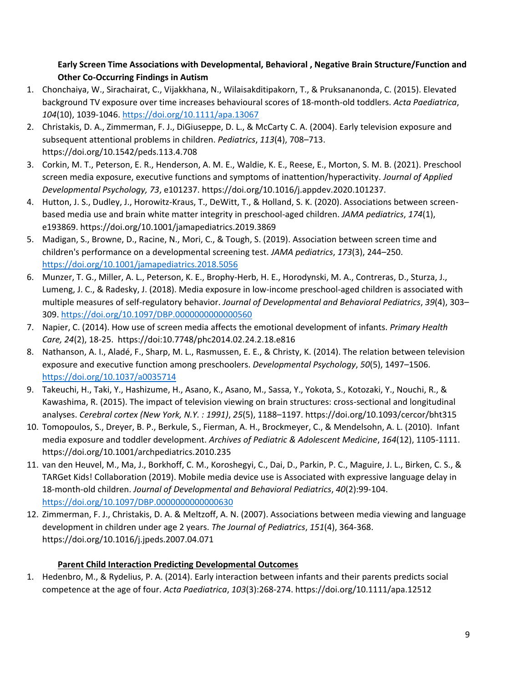# **Early Screen Time Associations with Developmental, Behavioral , Negative Brain Structure/Function and Other Co-Occurring Findings in Autism**

- 1. Chonchaiya, W., Sirachairat, C., Vijakkhana, N., Wilaisakditipakorn, T., & Pruksananonda, C. (2015). Elevated background TV exposure over time increases behavioural scores of 18-month-old toddlers. *Acta Paediatrica*, *104*(10), 1039-1046.<https://doi.org/10.1111/apa.13067>
- 2. Christakis, D. A., Zimmerman, F. J., DiGiuseppe, D. L., & McCarty C. A. (2004). Early television exposure and subsequent attentional problems in children. *Pediatrics*, *113*(4), 708–713. https://doi.org/10.1542/peds.113.4.708
- 3. Corkin, M. T., Peterson, E. R., Henderson, A. M. E., Waldie, K. E., Reese, E., Morton, S. M. B. (2021). Preschool screen media exposure, executive functions and symptoms of inattention/hyperactivity. *Journal of Applied Developmental Psychology, 73*, e101237. https://doi.org/10.1016/j.appdev.2020.101237.
- 4. Hutton, J. S., Dudley, J., Horowitz-Kraus, T., DeWitt, T., & Holland, S. K. (2020). Associations between screenbased media use and brain white matter integrity in preschool-aged children. *JAMA pediatrics*, *174*(1), e193869. https://doi.org/10.1001/jamapediatrics.2019.3869
- 5. Madigan, S., Browne, D., Racine, N., Mori, C., & Tough, S. (2019). Association between screen time and children's performance on a developmental screening test. *JAMA pediatrics*, *173*(3), 244–250. <https://doi.org/10.1001/jamapediatrics.2018.5056>
- 6. Munzer, T. G., Miller, A. L., Peterson, K. E., Brophy-Herb, H. E., Horodynski, M. A., Contreras, D., Sturza, J., Lumeng, J. C., & Radesky, J. (2018). Media exposure in low-income preschool-aged children is associated with multiple measures of self-regulatory behavior. *Journal of Developmental and Behavioral Pediatrics*, *39*(4), 303– 309.<https://doi.org/10.1097/DBP.0000000000000560>
- 7. Napier, C. (2014). How use of screen media affects the emotional development of infants. *Primary Health Care, 24*(2), 18-25. https://doi:10.7748/phc2014.02.24.2.18.e816
- 8. Nathanson, A. I., Aladé, F., Sharp, M. L., Rasmussen, E. E., & Christy, K. (2014). The relation between television exposure and executive function among preschoolers. *Developmental Psychology*, *50*(5), 1497–1506. <https://doi.org/10.1037/a0035714>
- 9. Takeuchi, H., Taki, Y., Hashizume, H., Asano, K., Asano, M., Sassa, Y., Yokota, S., Kotozaki, Y., Nouchi, R., & Kawashima, R. (2015). The impact of television viewing on brain structures: cross-sectional and longitudinal analyses. *Cerebral cortex (New York, N.Y. : 1991)*, *25*(5), 1188–1197. https://doi.org/10.1093/cercor/bht315
- 10. Tomopoulos, S., Dreyer, B. P., Berkule, S., Fierman, A. H., Brockmeyer, C., & Mendelsohn, A. L. (2010). Infant media exposure and toddler development. *Archives of Pediatric & Adolescent Medicine*, *164*(12), 1105-1111. https://doi.org/10.1001/archpediatrics.2010.235
- 11. van den Heuvel, M., Ma, J., Borkhoff, C. M., Koroshegyi, C., Dai, D., Parkin, P. C., Maguire, J. L., Birken, C. S., & TARGet Kids! Collaboration (2019). Mobile media device use is Associated with expressive language delay in 18-month-old children. *Journal of Developmental and Behavioral Pediatrics*, *40*(2):99-104. <https://doi.org/10.1097/DBP.0000000000000630>
- 12. Zimmerman, F. J., Christakis, D. A. & Meltzoff, A. N. (2007). Associations between media viewing and language development in children under age 2 years. *The Journal of Pediatrics*, *151*(4), 364-368. https://doi.org/10.1016/j.jpeds.2007.04.071

# **Parent Child Interaction Predicting Developmental Outcomes**

1. Hedenbro, M., & Rydelius, P. A. (2014). Early interaction between infants and their parents predicts social competence at the age of four. *Acta Paediatrica*, *103*(3):268-274. https://doi.org/10.1111/apa.12512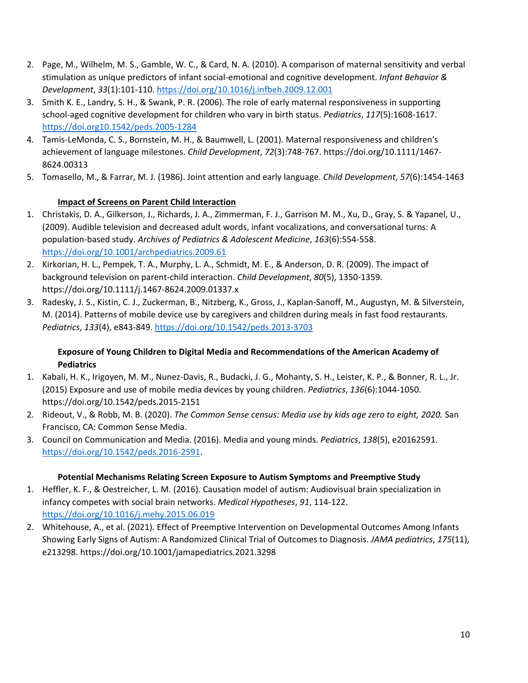- 2. Page, M., Wilhelm, M. S., Gamble, W. C., & Card, N. A. (2010). A comparison of maternal sensitivity and verbal stimulation as unique predictors of infant social-emotional and cognitive development. *Infant Behavior & Development*, *33*(1):101-110.<https://doi.org/10.1016/j.infbeh.2009.12.001>
- 3. Smith K. E., Landry, S. H., & Swank, P. R. (2006). The role of early maternal responsiveness in supporting school-aged cognitive development for children who vary in birth status. *Pediatrics*, *117*(5):1608-1617. <https://doi.org10.1542/peds.2005-1284>
- 4. Tamis-LeMonda, C. S., Bornstein, M. H., & Baumwell, L. (2001). Maternal responsiveness and children's achievement of language milestones. *Child Development*, *72*(3):748-767. https://doi.org/10.1111/1467- 8624.00313
- 5. Tomasello, M., & Farrar, M. J. (1986). Joint attention and early language. *Child Development*, *57*(6):1454-1463

# **Impact of Screens on Parent Child Interaction**

- 1. Christakis, D. A., Gilkerson, J., Richards, J. A., Zimmerman, F. J., Garrison M. M., Xu, D., Gray, S. & Yapanel, U., (2009). Audible television and decreased adult words, infant vocalizations, and conversational turns: A population-based study. *Archives of Pediatrics & Adolescent Medicine*, *163*(6):554-558. <https://doi.org/10.1001/archpediatrics.2009.61>
- 2. Kirkorian, H. L., Pempek, T. A., Murphy, L. A., Schmidt, M. E., & Anderson, D. R. (2009). The impact of background television on parent-child interaction. *Child Development*, *80*(5), 1350-1359. https://doi.org/10.1111/j.1467-8624.2009.01337.x
- 3. Radesky, J. S., Kistin, C. J., Zuckerman, B., Nitzberg, K., Gross, J., Kaplan-Sanoff, M., Augustyn, M. & Silverstein, M. (2014). Patterns of mobile device use by caregivers and children during meals in fast food restaurants. *Pediatrics*, *133*(4), e843-849[. https://doi.org/10.1542/peds.2013-3703](https://doi.org/10.1542/peds.2013-3703)

# **Exposure of Young Children to Digital Media and Recommendations of the American Academy of Pediatrics**

- 1. Kabali, H. K., Irigoyen, M. M., Nunez-Davis, R., Budacki, J. G., Mohanty, S. H., Leister, K. P., & Bonner, R. L., Jr. (2015) Exposure and use of mobile media devices by young children. *Pediatrics*, *136*(6):1044-1050. https://doi.org/10.1542/peds.2015-2151
- 2. Rideout, V., & Robb, M. B. (2020). *The Common Sense census: Media use by kids age zero to eight, 2020.* San Francisco, CA: Common Sense Media.
- 3. Council on Communication and Media. (2016). Media and young minds. *Pediatrics*, *138*(5), e20162591. [https://doi.org/10.1542/peds.2016-2591.](https://doi.org/10.1542/peds.2016-2591)

# **Potential Mechanisms Relating Screen Exposure to Autism Symptoms and Preemptive Study**

- 1. Heffler, K. F., & Oestreicher, L. M. (2016). Causation model of autism: Audiovisual brain specialization in infancy competes with social brain networks. *Medical Hypotheses*, *91*, 114-122. <https://doi.org/10.1016/j.mehy.2015.06.019>
- 2. Whitehouse, A., et al. (2021). Effect of Preemptive Intervention on Developmental Outcomes Among Infants Showing Early Signs of Autism: A Randomized Clinical Trial of Outcomes to Diagnosis. *JAMA pediatrics*, *175*(11), e213298. https://doi.org/10.1001/jamapediatrics.2021.3298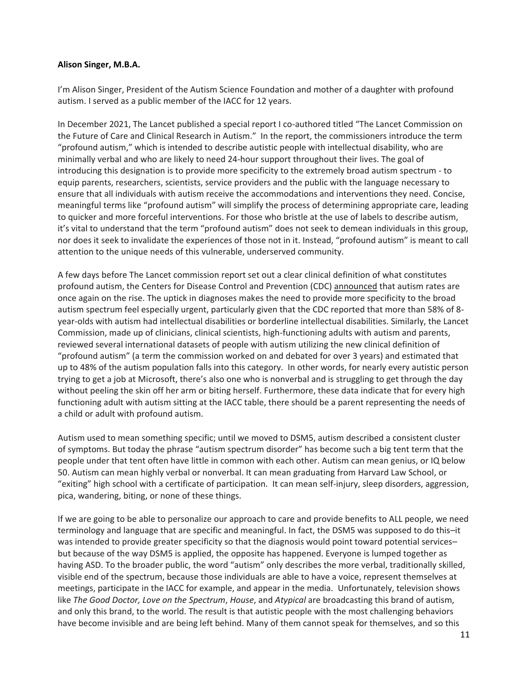## <span id="page-10-0"></span>**Alison Singer, M.B.A.**

I'm Alison Singer, President of the Autism Science Foundation and mother of a daughter with profound autism. I served as a public member of the IACC for 12 years.

In December 2021, The Lancet published a special report I co-authored titled "The Lancet Commission on the Future of Care and Clinical Research in Autism." In the report, the commissioners introduce the term "profound autism," which is intended to describe autistic people with intellectual disability, who are minimally verbal and who are likely to need 24-hour support throughout their lives. The goal of introducing this designation is to provide more specificity to the extremely broad autism spectrum - to equip parents, researchers, scientists, service providers and the public with the language necessary to ensure that all individuals with autism receive the accommodations and interventions they need. Concise, meaningful terms like "profound autism" will simplify the process of determining appropriate care, leading to quicker and more forceful interventions. For those who bristle at the use of labels to describe autism, it's vital to understand that the term "profound autism" does not seek to demean individuals in this group, nor does it seek to invalidate the experiences of those not in it. Instead, "profound autism" is meant to call attention to the unique needs of this vulnerable, underserved community.

A few days before The Lancet commission report set out a clear clinical definition of what constitutes profound autism, the Centers for Disease Control and Prevention (CDC[\) announced](https://www.cdc.gov/media/releases/2021/p1202-autism.html) that autism rates are once again on the rise. The uptick in diagnoses makes the need to provide more specificity to the broad autism spectrum feel especially urgent, particularly given that the CDC reported that more than 58% of 8 year-olds with autism had intellectual disabilities or borderline intellectual disabilities. Similarly, the Lancet Commission, made up of clinicians, clinical scientists, high-functioning adults with autism and parents, reviewed several international datasets of people with autism utilizing the new clinical definition of "profound autism" (a term the commission worked on and debated for over 3 years) and estimated that up to 48% of the autism population falls into this category. In other words, for nearly every autistic person trying to get a job at Microsoft, there's also one who is nonverbal and is struggling to get through the day without peeling the skin off her arm or biting herself. Furthermore, these data indicate that for every high functioning adult with autism sitting at the IACC table, there should be a parent representing the needs of a child or adult with profound autism.

Autism used to mean something specific; until we moved to DSM5, autism described a consistent cluster of symptoms. But today the phrase "autism spectrum disorder" has become such a big tent term that the people under that tent often have little in common with each other. Autism can mean genius, or IQ below 50. Autism can mean highly verbal or nonverbal. It can mean graduating from Harvard Law School, or "exiting" high school with a certificate of participation. It can mean self-injury, sleep disorders, aggression, pica, wandering, biting, or none of these things.

If we are going to be able to personalize our approach to care and provide benefits to ALL people, we need terminology and language that are specific and meaningful. In fact, the DSM5 was supposed to do this–it was intended to provide greater specificity so that the diagnosis would point toward potential servicesbut because of the way DSM5 is applied, the opposite has happened. Everyone is lumped together as having ASD. To the broader public, the word "autism" only describes the more verbal, traditionally skilled, visible end of the spectrum, because those individuals are able to have a voice, represent themselves at meetings, participate in the IACC for example, and appear in the media. Unfortunately, television shows like *The Good Doctor, Love on the Spectrum*, *House*, and *Atypical* are broadcasting this brand of autism, and only this brand, to the world. The result is that autistic people with the most challenging behaviors have become invisible and are being left behind. Many of them cannot speak for themselves, and so this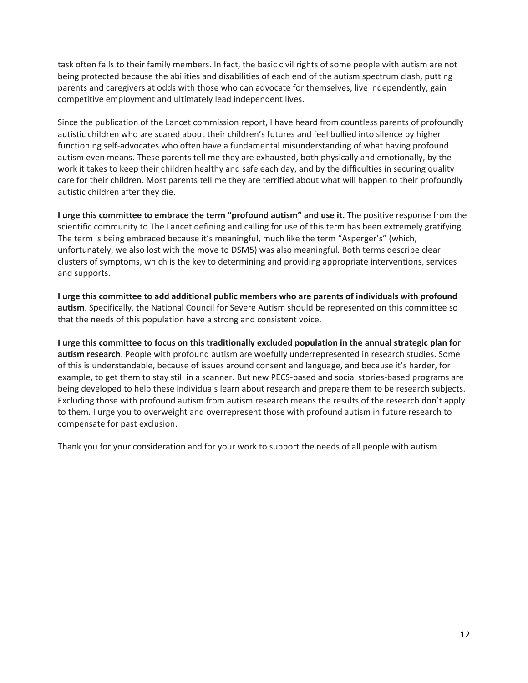task often falls to their family members. In fact, the basic civil rights of some people with autism are not being protected because the abilities and disabilities of each end of the autism spectrum clash, putting parents and caregivers at odds with those who can advocate for themselves, live independently, gain competitive employment and ultimately lead independent lives.

Since the publication of the Lancet commission report, I have heard from countless parents of profoundly autistic children who are scared about their children's futures and feel bullied into silence by higher functioning self-advocates who often have a fundamental misunderstanding of what having profound autism even means. These parents tell me they are exhausted, both physically and emotionally, by the work it takes to keep their children healthy and safe each day, and by the difficulties in securing quality care for their children. Most parents tell me they are terrified about what will happen to their profoundly autistic children after they die.

**I urge this committee to embrace the term "profound autism" and use it.** The positive response from the scientific community to The Lancet defining and calling for use of this term has been extremely gratifying. The term is being embraced because it's meaningful, much like the term "Asperger's" (which, unfortunately, we also lost with the move to DSM5) was also meaningful. Both terms describe clear clusters of symptoms, which is the key to determining and providing appropriate interventions, services and supports.

**I urge this committee to add additional public members who are parents of individuals with profound autism**. Specifically, the National Council for Severe Autism should be represented on this committee so that the needs of this population have a strong and consistent voice.

**I urge this committee to focus on this traditionally excluded population in the annual strategic plan for autism research**. People with profound autism are woefully underrepresented in research studies. Some of this is understandable, because of issues around consent and language, and because it's harder, for example, to get them to stay still in a scanner. But new PECS-based and social stories-based programs are being developed to help these individuals learn about research and prepare them to be research subjects. Excluding those with profound autism from autism research means the results of the research don't apply to them. I urge you to overweight and overrepresent those with profound autism in future research to compensate for past exclusion.

Thank you for your consideration and for your work to support the needs of all people with autism.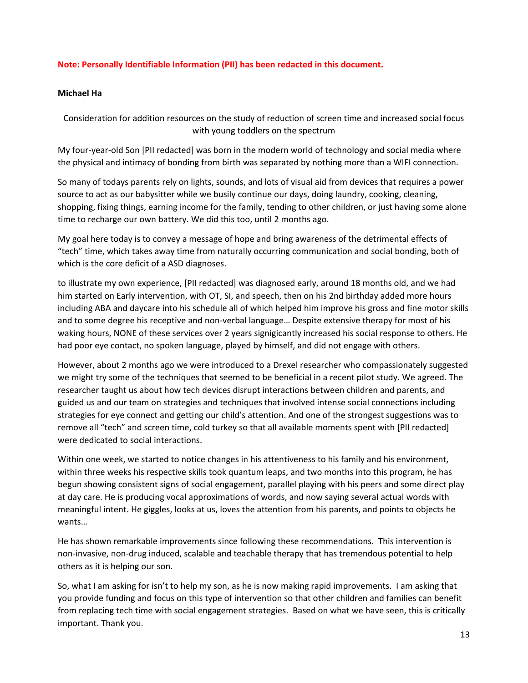# **Note: Personally Identifiable Information (PII) has been redacted in this document.**

## <span id="page-12-0"></span>**Michael Ha**

Consideration for addition resources on the study of reduction of screen time and increased social focus with young toddlers on the spectrum

My four-year-old Son [PII redacted] was born in the modern world of technology and social media where the physical and intimacy of bonding from birth was separated by nothing more than a WIFI connection.

So many of todays parents rely on lights, sounds, and lots of visual aid from devices that requires a power source to act as our babysitter while we busily continue our days, doing laundry, cooking, cleaning, shopping, fixing things, earning income for the family, tending to other children, or just having some alone time to recharge our own battery. We did this too, until 2 months ago.

My goal here today is to convey a message of hope and bring awareness of the detrimental effects of "tech" time, which takes away time from naturally occurring communication and social bonding, both of which is the core deficit of a ASD diagnoses.

to illustrate my own experience, [PII redacted] was diagnosed early, around 18 months old, and we had him started on Early intervention, with OT, SI, and speech, then on his 2nd birthday added more hours including ABA and daycare into his schedule all of which helped him improve his gross and fine motor skills and to some degree his receptive and non-verbal language… Despite extensive therapy for most of his waking hours, NONE of these services over 2 years signigicantly increased his social response to others. He had poor eye contact, no spoken language, played by himself, and did not engage with others.

However, about 2 months ago we were introduced to a Drexel researcher who compassionately suggested we might try some of the techniques that seemed to be beneficial in a recent pilot study. We agreed. The researcher taught us about how tech devices disrupt interactions between children and parents, and guided us and our team on strategies and techniques that involved intense social connections including strategies for eye connect and getting our child's attention. And one of the strongest suggestions was to remove all "tech" and screen time, cold turkey so that all available moments spent with [PII redacted] were dedicated to social interactions.

Within one week, we started to notice changes in his attentiveness to his family and his environment, within three weeks his respective skills took quantum leaps, and two months into this program, he has begun showing consistent signs of social engagement, parallel playing with his peers and some direct play at day care. He is producing vocal approximations of words, and now saying several actual words with meaningful intent. He giggles, looks at us, loves the attention from his parents, and points to objects he wants…

He has shown remarkable improvements since following these recommendations. This intervention is non-invasive, non-drug induced, scalable and teachable therapy that has tremendous potential to help others as it is helping our son.

So, what I am asking for isn't to help my son, as he is now making rapid improvements. I am asking that you provide funding and focus on this type of intervention so that other children and families can benefit from replacing tech time with social engagement strategies. Based on what we have seen, this is critically important. Thank you.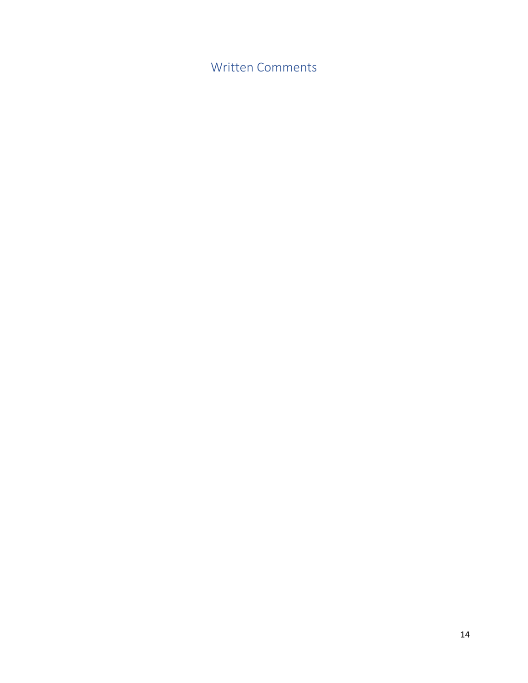<span id="page-13-0"></span>Written Comments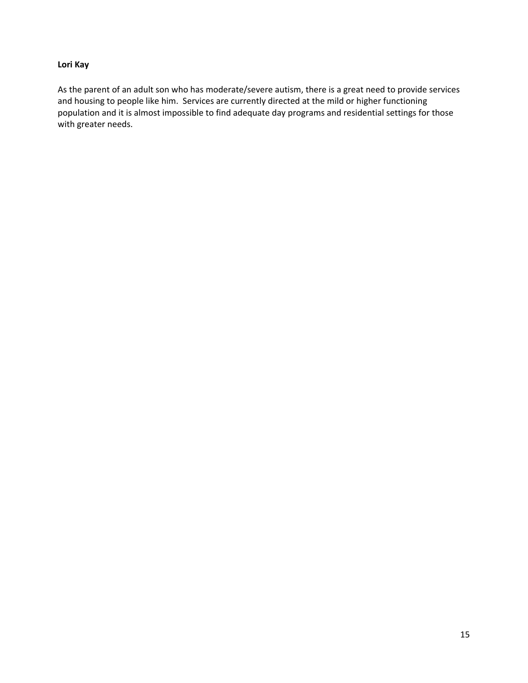# <span id="page-14-0"></span>**Lori Kay**

As the parent of an adult son who has moderate/severe autism, there is a great need to provide services and housing to people like him. Services are currently directed at the mild or higher functioning population and it is almost impossible to find adequate day programs and residential settings for those with greater needs.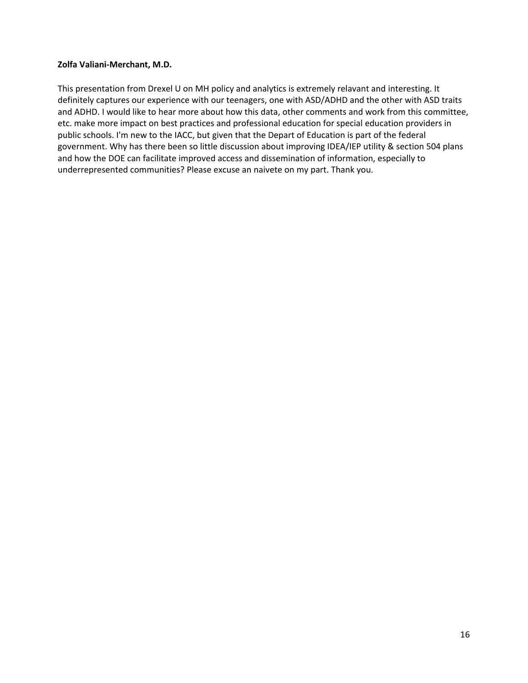# <span id="page-15-0"></span>**Zolfa Valiani-Merchant, M.D.**

This presentation from Drexel U on MH policy and analytics is extremely relavant and interesting. It definitely captures our experience with our teenagers, one with ASD/ADHD and the other with ASD traits and ADHD. I would like to hear more about how this data, other comments and work from this committee, etc. make more impact on best practices and professional education for special education providers in public schools. I'm new to the IACC, but given that the Depart of Education is part of the federal government. Why has there been so little discussion about improving IDEA/IEP utility & section 504 plans and how the DOE can facilitate improved access and dissemination of information, especially to underrepresented communities? Please excuse an naivete on my part. Thank you.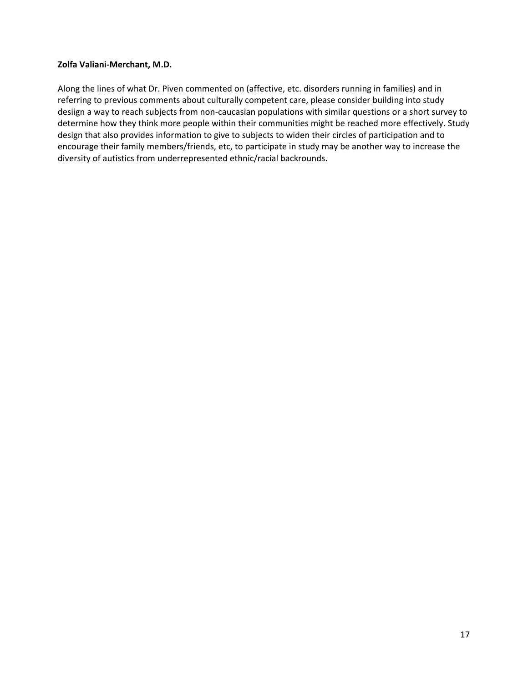# <span id="page-16-0"></span>**Zolfa Valiani-Merchant, M.D.**

Along the lines of what Dr. Piven commented on (affective, etc. disorders running in families) and in referring to previous comments about culturally competent care, please consider building into study desiign a way to reach subjects from non-caucasian populations with similar questions or a short survey to determine how they think more people within their communities might be reached more effectively. Study design that also provides information to give to subjects to widen their circles of participation and to encourage their family members/friends, etc, to participate in study may be another way to increase the diversity of autistics from underrepresented ethnic/racial backrounds.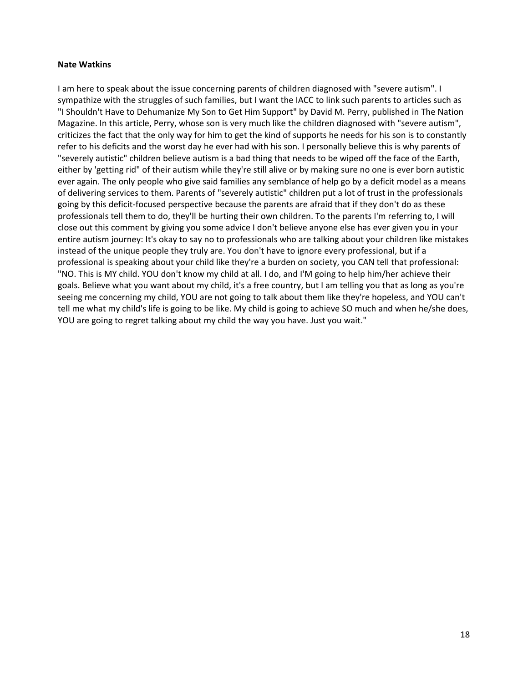#### <span id="page-17-0"></span>**Nate Watkins**

I am here to speak about the issue concerning parents of children diagnosed with "severe autism". I sympathize with the struggles of such families, but I want the IACC to link such parents to articles such as "I Shouldn't Have to Dehumanize My Son to Get Him Support" by David M. Perry, published in The Nation Magazine. In this article, Perry, whose son is very much like the children diagnosed with "severe autism", criticizes the fact that the only way for him to get the kind of supports he needs for his son is to constantly refer to his deficits and the worst day he ever had with his son. I personally believe this is why parents of "severely autistic" children believe autism is a bad thing that needs to be wiped off the face of the Earth, either by 'getting rid" of their autism while they're still alive or by making sure no one is ever born autistic ever again. The only people who give said families any semblance of help go by a deficit model as a means of delivering services to them. Parents of "severely autistic" children put a lot of trust in the professionals going by this deficit-focused perspective because the parents are afraid that if they don't do as these professionals tell them to do, they'll be hurting their own children. To the parents I'm referring to, I will close out this comment by giving you some advice I don't believe anyone else has ever given you in your entire autism journey: It's okay to say no to professionals who are talking about your children like mistakes instead of the unique people they truly are. You don't have to ignore every professional, but if a professional is speaking about your child like they're a burden on society, you CAN tell that professional: "NO. This is MY child. YOU don't know my child at all. I do, and I'M going to help him/her achieve their goals. Believe what you want about my child, it's a free country, but I am telling you that as long as you're seeing me concerning my child, YOU are not going to talk about them like they're hopeless, and YOU can't tell me what my child's life is going to be like. My child is going to achieve SO much and when he/she does, YOU are going to regret talking about my child the way you have. Just you wait."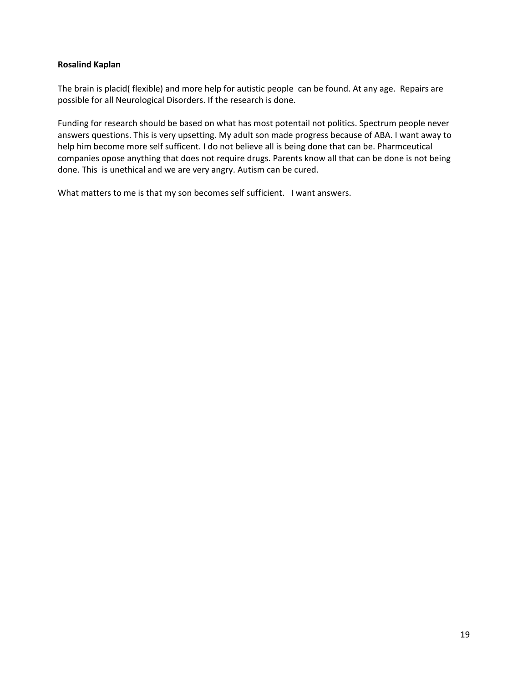# <span id="page-18-0"></span>**Rosalind Kaplan**

The brain is placid( flexible) and more help for autistic people can be found. At any age. Repairs are possible for all Neurological Disorders. If the research is done.

Funding for research should be based on what has most potentail not politics. Spectrum people never answers questions. This is very upsetting. My adult son made progress because of ABA. I want away to help him become more self sufficent. I do not believe all is being done that can be. Pharmceutical companies opose anything that does not require drugs. Parents know all that can be done is not being done. This is unethical and we are very angry. Autism can be cured.

What matters to me is that my son becomes self sufficient. I want answers.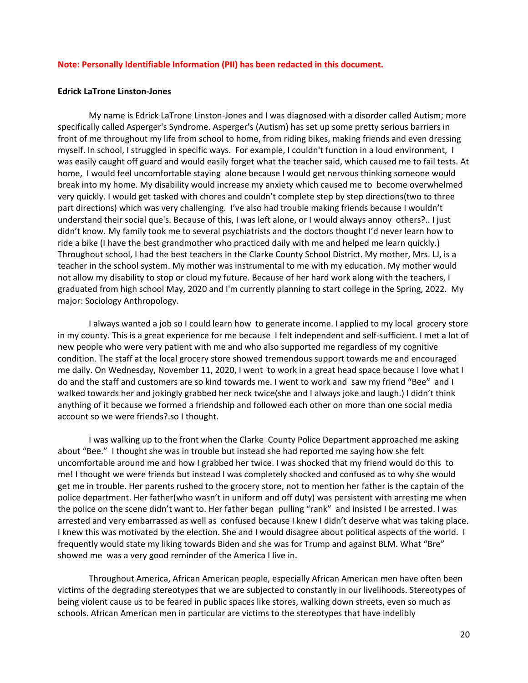#### **Note: Personally Identifiable Information (PII) has been redacted in this document.**

#### <span id="page-19-0"></span>**Edrick LaTrone Linston-Jones**

My name is Edrick LaTrone Linston-Jones and I was diagnosed with a disorder called Autism; more specifically called Asperger's Syndrome. Asperger's (Autism) has set up some pretty serious barriers in front of me throughout my life from school to home, from riding bikes, making friends and even dressing myself. In school, I struggled in specific ways. For example, I couldn't function in a loud environment, I was easily caught off guard and would easily forget what the teacher said, which caused me to fail tests. At home, I would feel uncomfortable staying alone because I would get nervous thinking someone would break into my home. My disability would increase my anxiety which caused me to become overwhelmed very quickly. I would get tasked with chores and couldn't complete step by step directions(two to three part directions) which was very challenging. I've also had trouble making friends because I wouldn't understand their social que's. Because of this, I was left alone, or I would always annoy others?.. I just didn't know. My family took me to several psychiatrists and the doctors thought I'd never learn how to ride a bike (I have the best grandmother who practiced daily with me and helped me learn quickly.) Throughout school, I had the best teachers in the Clarke County School District. My mother, Mrs. LJ, is a teacher in the school system. My mother was instrumental to me with my education. My mother would not allow my disability to stop or cloud my future. Because of her hard work along with the teachers, I graduated from high school May, 2020 and I'm currently planning to start college in the Spring, 2022. My major: Sociology Anthropology.

I always wanted a job so I could learn how to generate income. I applied to my local grocery store in my county. This is a great experience for me because I felt independent and self-sufficient. I met a lot of new people who were very patient with me and who also supported me regardless of my cognitive condition. The staff at the local grocery store showed tremendous support towards me and encouraged me daily. On Wednesday, November 11, 2020, I went to work in a great head space because I love what I do and the staff and customers are so kind towards me. I went to work and saw my friend "Bee" and I walked towards her and jokingly grabbed her neck twice(she and I always joke and laugh.) I didn't think anything of it because we formed a friendship and followed each other on more than one social media account so we were friends?.so I thought.

I was walking up to the front when the Clarke County Police Department approached me asking about "Bee." I thought she was in trouble but instead she had reported me saying how she felt uncomfortable around me and how I grabbed her twice. I was shocked that my friend would do this to me! I thought we were friends but instead I was completely shocked and confused as to why she would get me in trouble. Her parents rushed to the grocery store, not to mention her father is the captain of the police department. Her father(who wasn't in uniform and off duty) was persistent with arresting me when the police on the scene didn't want to. Her father began pulling "rank" and insisted I be arrested. I was arrested and very embarrassed as well as confused because I knew I didn't deserve what was taking place. I knew this was motivated by the election. She and I would disagree about political aspects of the world. I frequently would state my liking towards Biden and she was for Trump and against BLM. What "Bre" showed me was a very good reminder of the America I live in.

Throughout America, African American people, especially African American men have often been victims of the degrading stereotypes that we are subjected to constantly in our livelihoods. Stereotypes of being violent cause us to be feared in public spaces like stores, walking down streets, even so much as schools. African American men in particular are victims to the stereotypes that have indelibly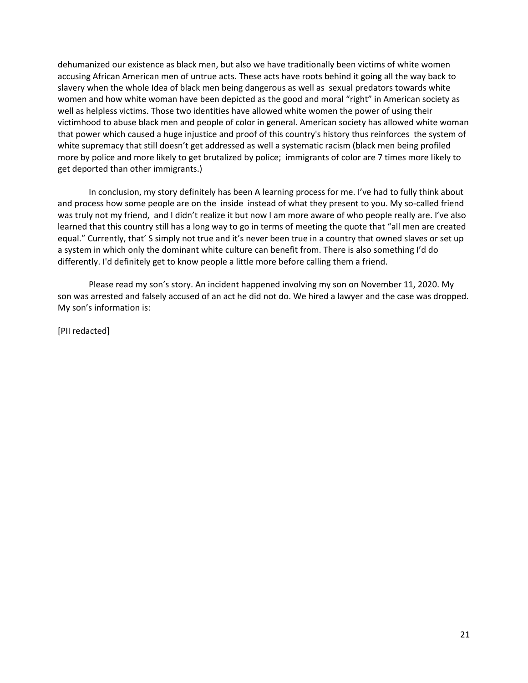dehumanized our existence as black men, but also we have traditionally been victims of white women accusing African American men of untrue acts. These acts have roots behind it going all the way back to slavery when the whole Idea of black men being dangerous as well as sexual predators towards white women and how white woman have been depicted as the good and moral "right" in American society as well as helpless victims. Those two identities have allowed white women the power of using their victimhood to abuse black men and people of color in general. American society has allowed white woman that power which caused a huge injustice and proof of this country's history thus reinforces the system of white supremacy that still doesn't get addressed as well a systematic racism (black men being profiled more by police and more likely to get brutalized by police; immigrants of color are 7 times more likely to get deported than other immigrants.)

In conclusion, my story definitely has been A learning process for me. I've had to fully think about and process how some people are on the inside instead of what they present to you. My so-called friend was truly not my friend, and I didn't realize it but now I am more aware of who people really are. I've also learned that this country still has a long way to go in terms of meeting the quote that "all men are created equal." Currently, that' S simply not true and it's never been true in a country that owned slaves or set up a system in which only the dominant white culture can benefit from. There is also something I'd do differently. I'd definitely get to know people a little more before calling them a friend.

Please read my son's story. An incident happened involving my son on November 11, 2020. My son was arrested and falsely accused of an act he did not do. We hired a lawyer and the case was dropped. My son's information is:

[PII redacted]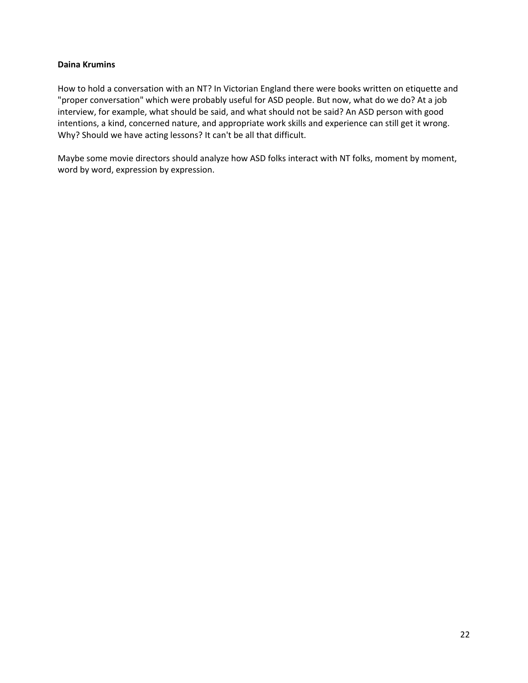# <span id="page-21-0"></span>**Daina Krumins**

How to hold a conversation with an NT? In Victorian England there were books written on etiquette and "proper conversation" which were probably useful for ASD people. But now, what do we do? At a job interview, for example, what should be said, and what should not be said? An ASD person with good intentions, a kind, concerned nature, and appropriate work skills and experience can still get it wrong. Why? Should we have acting lessons? It can't be all that difficult.

Maybe some movie directors should analyze how ASD folks interact with NT folks, moment by moment, word by word, expression by expression.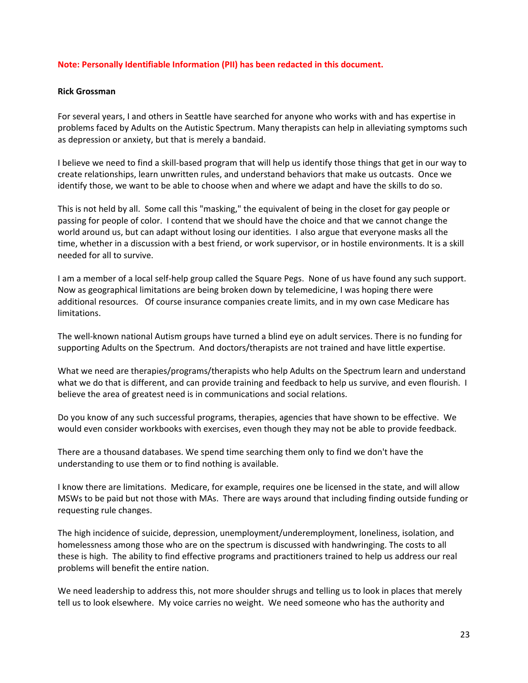## **Note: Personally Identifiable Information (PII) has been redacted in this document.**

#### <span id="page-22-0"></span>**Rick Grossman**

For several years, I and others in Seattle have searched for anyone who works with and has expertise in problems faced by Adults on the Autistic Spectrum. Many therapists can help in alleviating symptoms such as depression or anxiety, but that is merely a bandaid.

I believe we need to find a skill-based program that will help us identify those things that get in our way to create relationships, learn unwritten rules, and understand behaviors that make us outcasts. Once we identify those, we want to be able to choose when and where we adapt and have the skills to do so.

This is not held by all. Some call this "masking," the equivalent of being in the closet for gay people or passing for people of color. I contend that we should have the choice and that we cannot change the world around us, but can adapt without losing our identities. I also argue that everyone masks all the time, whether in a discussion with a best friend, or work supervisor, or in hostile environments. It is a skill needed for all to survive.

I am a member of a local self-help group called the Square Pegs. None of us have found any such support. Now as geographical limitations are being broken down by telemedicine, I was hoping there were additional resources. Of course insurance companies create limits, and in my own case Medicare has limitations.

The well-known national Autism groups have turned a blind eye on adult services. There is no funding for supporting Adults on the Spectrum. And doctors/therapists are not trained and have little expertise.

What we need are therapies/programs/therapists who help Adults on the Spectrum learn and understand what we do that is different, and can provide training and feedback to help us survive, and even flourish. I believe the area of greatest need is in communications and social relations.

Do you know of any such successful programs, therapies, agencies that have shown to be effective. We would even consider workbooks with exercises, even though they may not be able to provide feedback.

There are a thousand databases. We spend time searching them only to find we don't have the understanding to use them or to find nothing is available.

I know there are limitations. Medicare, for example, requires one be licensed in the state, and will allow MSWs to be paid but not those with MAs. There are ways around that including finding outside funding or requesting rule changes.

The high incidence of suicide, depression, unemployment/underemployment, loneliness, isolation, and homelessness among those who are on the spectrum is discussed with handwringing. The costs to all these is high. The ability to find effective programs and practitioners trained to help us address our real problems will benefit the entire nation.

We need leadership to address this, not more shoulder shrugs and telling us to look in places that merely tell us to look elsewhere. My voice carries no weight. We need someone who has the authority and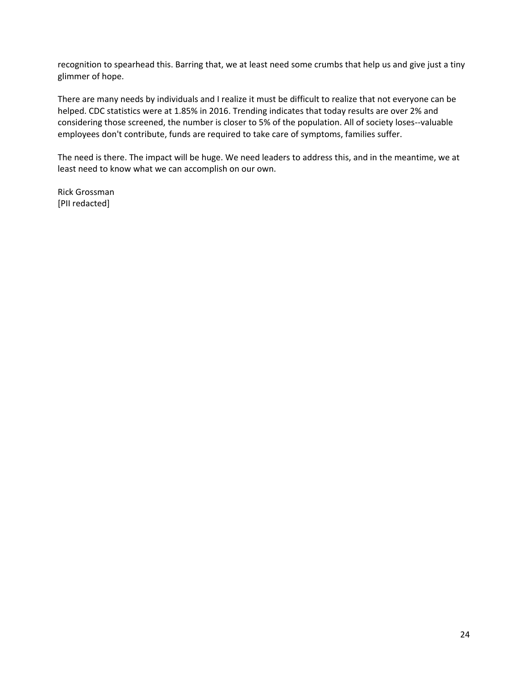recognition to spearhead this. Barring that, we at least need some crumbs that help us and give just a tiny glimmer of hope.

There are many needs by individuals and I realize it must be difficult to realize that not everyone can be helped. CDC statistics were at 1.85% in 2016. Trending indicates that today results are over 2% and considering those screened, the number is closer to 5% of the population. All of society loses--valuable employees don't contribute, funds are required to take care of symptoms, families suffer.

The need is there. The impact will be huge. We need leaders to address this, and in the meantime, we at least need to know what we can accomplish on our own.

Rick Grossman [PII redacted]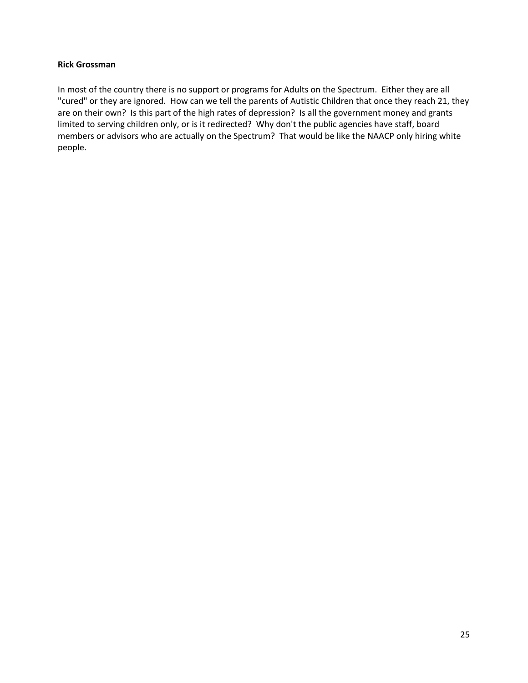# <span id="page-24-0"></span>**Rick Grossman**

In most of the country there is no support or programs for Adults on the Spectrum. Either they are all "cured" or they are ignored. How can we tell the parents of Autistic Children that once they reach 21, they are on their own? Is this part of the high rates of depression? Is all the government money and grants limited to serving children only, or is it redirected? Why don't the public agencies have staff, board members or advisors who are actually on the Spectrum? That would be like the NAACP only hiring white people.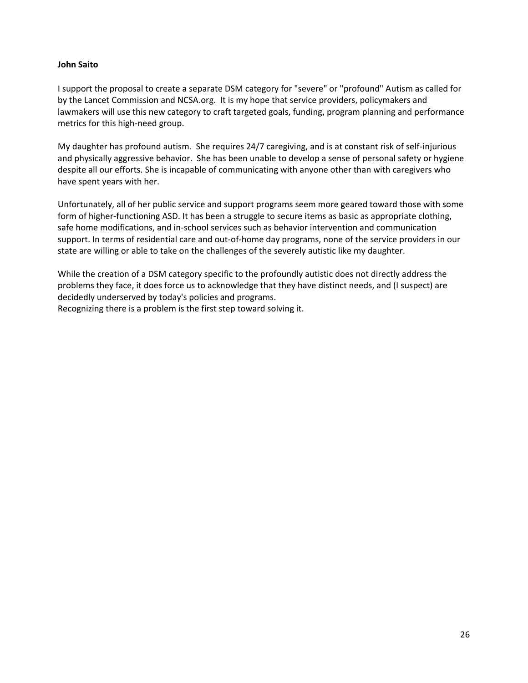# <span id="page-25-0"></span>**John Saito**

I support the proposal to create a separate DSM category for "severe" or "profound" Autism as called for by the Lancet Commission and NCSA.org. It is my hope that service providers, policymakers and lawmakers will use this new category to craft targeted goals, funding, program planning and performance metrics for this high-need group.

My daughter has profound autism. She requires 24/7 caregiving, and is at constant risk of self-injurious and physically aggressive behavior. She has been unable to develop a sense of personal safety or hygiene despite all our efforts. She is incapable of communicating with anyone other than with caregivers who have spent years with her.

Unfortunately, all of her public service and support programs seem more geared toward those with some form of higher-functioning ASD. It has been a struggle to secure items as basic as appropriate clothing, safe home modifications, and in-school services such as behavior intervention and communication support. In terms of residential care and out-of-home day programs, none of the service providers in our state are willing or able to take on the challenges of the severely autistic like my daughter.

While the creation of a DSM category specific to the profoundly autistic does not directly address the problems they face, it does force us to acknowledge that they have distinct needs, and (I suspect) are decidedly underserved by today's policies and programs.

Recognizing there is a problem is the first step toward solving it.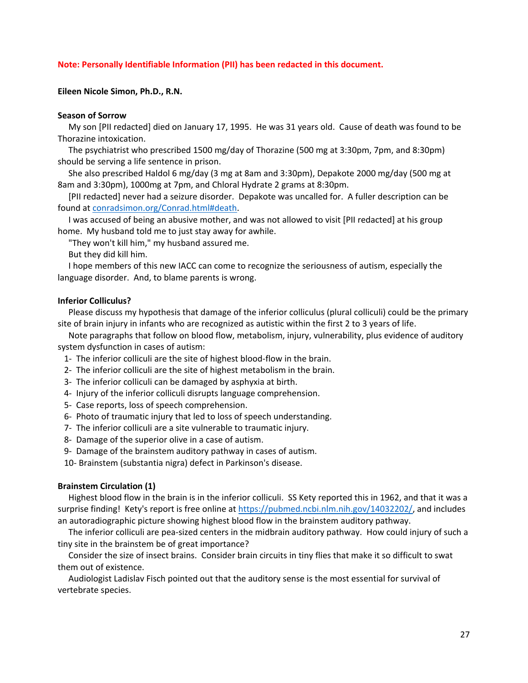#### **Note: Personally Identifiable Information (PII) has been redacted in this document.**

#### <span id="page-26-0"></span>**Eileen Nicole Simon, Ph.D., R.N.**

#### **Season of Sorrow**

 My son [PII redacted] died on January 17, 1995. He was 31 years old. Cause of death was found to be Thorazine intoxication.

 The psychiatrist who prescribed 1500 mg/day of Thorazine (500 mg at 3:30pm, 7pm, and 8:30pm) should be serving a life sentence in prison.

 She also prescribed Haldol 6 mg/day (3 mg at 8am and 3:30pm), Depakote 2000 mg/day (500 mg at 8am and 3:30pm), 1000mg at 7pm, and Chloral Hydrate 2 grams at 8:30pm.

 [PII redacted] never had a seizure disorder. Depakote was uncalled for. A fuller description can be found at [conradsimon.org/Conrad.html#death.](http://conradsimon.org/Conrad.html#death)

 I was accused of being an abusive mother, and was not allowed to visit [PII redacted] at his group home. My husband told me to just stay away for awhile.

"They won't kill him," my husband assured me.

But they did kill him.

 I hope members of this new IACC can come to recognize the seriousness of autism, especially the language disorder. And, to blame parents is wrong.

#### **Inferior Colliculus?**

 Please discuss my hypothesis that damage of the inferior colliculus (plural colliculi) could be the primary site of brain injury in infants who are recognized as autistic within the first 2 to 3 years of life.

 Note paragraphs that follow on blood flow, metabolism, injury, vulnerability, plus evidence of auditory system dysfunction in cases of autism:

- 1- The inferior colliculi are the site of highest blood-flow in the brain.
- 2- The inferior colliculi are the site of highest metabolism in the brain.
- 3- The inferior colliculi can be damaged by asphyxia at birth.
- 4- Injury of the inferior colliculi disrupts language comprehension.
- 5- Case reports, loss of speech comprehension.
- 6- Photo of traumatic injury that led to loss of speech understanding.
- 7- The inferior colliculi are a site vulnerable to traumatic injury.
- 8- Damage of the superior olive in a case of autism.
- 9- Damage of the brainstem auditory pathway in cases of autism.

10- Brainstem (substantia nigra) defect in Parkinson's disease.

#### **Brainstem Circulation (1)**

 Highest blood flow in the brain is in the inferior colliculi. SS Kety reported this in 1962, and that it was a surprise finding! Kety's report is free online at [https://pubmed.ncbi.nlm.nih.gov/14032202/,](https://pubmed.ncbi.nlm.nih.gov/14032202/) and includes an autoradiographic picture showing highest blood flow in the brainstem auditory pathway.

 The inferior colliculi are pea-sized centers in the midbrain auditory pathway. How could injury of such a tiny site in the brainstem be of great importance?

 Consider the size of insect brains. Consider brain circuits in tiny flies that make it so difficult to swat them out of existence.

 Audiologist Ladislav Fisch pointed out that the auditory sense is the most essential for survival of vertebrate species.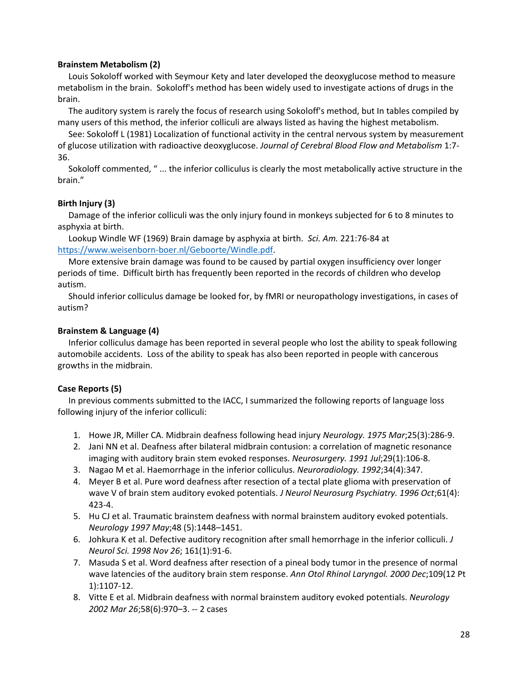# **Brainstem Metabolism (2)**

 Louis Sokoloff worked with Seymour Kety and later developed the deoxyglucose method to measure metabolism in the brain. Sokoloff's method has been widely used to investigate actions of drugs in the brain.

 The auditory system is rarely the focus of research using Sokoloff's method, but In tables compiled by many users of this method, the inferior colliculi are always listed as having the highest metabolism.

 See: Sokoloff L (1981) Localization of functional activity in the central nervous system by measurement of glucose utilization with radioactive deoxyglucose. *Journal of Cerebral Blood Flow and Metabolism* 1:7- 36.

 Sokoloff commented, " ... the inferior colliculus is clearly the most metabolically active structure in the brain."

# **Birth Injury (3)**

 Damage of the inferior colliculi was the only injury found in monkeys subjected for 6 to 8 minutes to asphyxia at birth.

 Lookup Windle WF (1969) Brain damage by asphyxia at birth. *Sci. Am.* 221:76-84 at [https://www.weisenborn-boer.nl/Geboorte/Windle.pdf.](https://www.weisenborn-boer.nl/Geboorte/Windle.pdf)

 More extensive brain damage was found to be caused by partial oxygen insufficiency over longer periods of time. Difficult birth has frequently been reported in the records of children who develop autism.

 Should inferior colliculus damage be looked for, by fMRI or neuropathology investigations, in cases of autism?

# **Brainstem & Language (4)**

 Inferior colliculus damage has been reported in several people who lost the ability to speak following automobile accidents. Loss of the ability to speak has also been reported in people with cancerous growths in the midbrain.

# **Case Reports (5)**

 In previous comments submitted to the IACC, I summarized the following reports of language loss following injury of the inferior colliculi:

- 1. Howe JR, Miller CA. Midbrain deafness following head injury *Neurology. 1975 Mar*;25(3):286-9.
- 2. Jani NN et al. Deafness after bilateral midbrain contusion: a correlation of magnetic resonance imaging with auditory brain stem evoked responses. *Neurosurgery. 1991 Jul*;29(1):106-8.
- 3. Nagao M et al. Haemorrhage in the inferior colliculus. *Neuroradiology. 1992*;34(4):347.
- 4. Meyer B et al. Pure word deafness after resection of a tectal plate glioma with preservation of wave V of brain stem auditory evoked potentials. *J Neurol Neurosurg Psychiatry. 1996 Oct*;61(4): 423-4.
- 5. Hu CJ et al. Traumatic brainstem deafness with normal brainstem auditory evoked potentials. *Neurology 1997 May*;48 (5):1448–1451.
- 6. Johkura K et al. Defective auditory recognition after small hemorrhage in the inferior colliculi. *J Neurol Sci. 1998 Nov 26*; 161(1):91-6.
- 7. Masuda S et al. Word deafness after resection of a pineal body tumor in the presence of normal wave latencies of the auditory brain stem response. *Ann Otol Rhinol Laryngol. 2000 Dec*;109(12 Pt 1):1107-12.
- 8. Vitte E et al. Midbrain deafness with normal brainstem auditory evoked potentials. *Neurology 2002 Mar 26*;58(6):970–3. -- 2 cases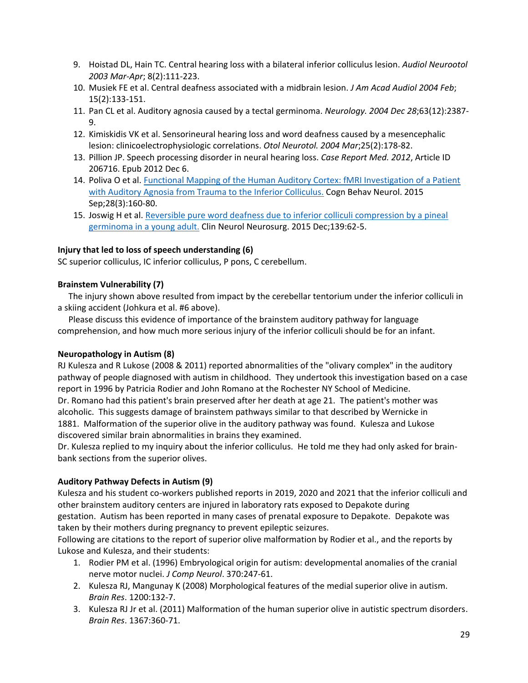- 9. Hoistad DL, Hain TC. Central hearing loss with a bilateral inferior colliculus lesion. *Audiol Neurootol 2003 Mar-Apr*; 8(2):111-223.
- 10. Musiek FE et al. Central deafness associated with a midbrain lesion. *J Am Acad Audiol 2004 Feb*; 15(2):133-151.
- 11. Pan CL et al. Auditory agnosia caused by a tectal germinoma. *Neurology. 2004 Dec 28*;63(12):2387- 9.
- 12. Kimiskidis VK et al. Sensorineural hearing loss and word deafness caused by a mesencephalic lesion: clinicoelectrophysiologic correlations. *Otol Neurotol. 2004 Mar*;25(2):178-82.
- 13. Pillion JP. Speech processing disorder in neural hearing loss. *Case Report Med. 2012*, Article ID 206716. Epub 2012 Dec 6.
- 14. Poliva O et al[. Functional Mapping of the Human Auditory Cortex: fMRI Investigation of a Patient](https://pubmed.ncbi.nlm.nih.gov/26413744/)  [with Auditory Agnosia from Trauma to the Inferior Colliculus.](https://pubmed.ncbi.nlm.nih.gov/26413744/) Cogn Behav Neurol. 2015 Sep;28(3):160-80.
- 15. Joswig H et al[. Reversible pure word deafness due to inferior colliculi compression by a pineal](https://pubmed.ncbi.nlm.nih.gov/26372938/)  [germinoma in a young adult.](https://pubmed.ncbi.nlm.nih.gov/26372938/) Clin Neurol Neurosurg. 2015 Dec;139:62-5.

# **Injury that led to loss of speech understanding (6)**

SC superior colliculus, IC inferior colliculus, P pons, C cerebellum.

# **Brainstem Vulnerability (7)**

 The injury shown above resulted from impact by the cerebellar tentorium under the inferior colliculi in a skiing accident (Johkura et al. #6 above).

 Please discuss this evidence of importance of the brainstem auditory pathway for language comprehension, and how much more serious injury of the inferior colliculi should be for an infant.

# **Neuropathology in Autism (8)**

RJ Kulesza and R Lukose (2008 & 2011) reported abnormalities of the "olivary complex" in the auditory pathway of people diagnosed with autism in childhood. They undertook this investigation based on a case report in 1996 by Patricia Rodier and John Romano at the Rochester NY School of Medicine. Dr. Romano had this patient's brain preserved after her death at age 21. The patient's mother was alcoholic. This suggests damage of brainstem pathways similar to that described by Wernicke in 1881. Malformation of the superior olive in the auditory pathway was found. Kulesza and Lukose discovered similar brain abnormalities in brains they examined.

Dr. Kulesza replied to my inquiry about the inferior colliculus. He told me they had only asked for brainbank sections from the superior olives.

# **Auditory Pathway Defects in Autism (9)**

Kulesza and his student co-workers published reports in 2019, 2020 and 2021 that the inferior colliculi and other brainstem auditory centers are injured in laboratory rats exposed to Depakote during gestation. Autism has been reported in many cases of prenatal exposure to Depakote. Depakote was taken by their mothers during pregnancy to prevent epileptic seizures.

Following are citations to the report of superior olive malformation by Rodier et al., and the reports by Lukose and Kulesza, and their students:

- 1. Rodier PM et al. (1996) Embryological origin for autism: developmental anomalies of the cranial nerve motor nuclei. *J Comp Neurol*. 370:247-61.
- 2. Kulesza RJ, Mangunay K (2008) Morphological features of the medial superior olive in autism. *Brain Res*. 1200:132-7.
- 3. Kulesza RJ Jr et al. (2011) Malformation of the human superior olive in autistic spectrum disorders. *Brain Res*. 1367:360-71.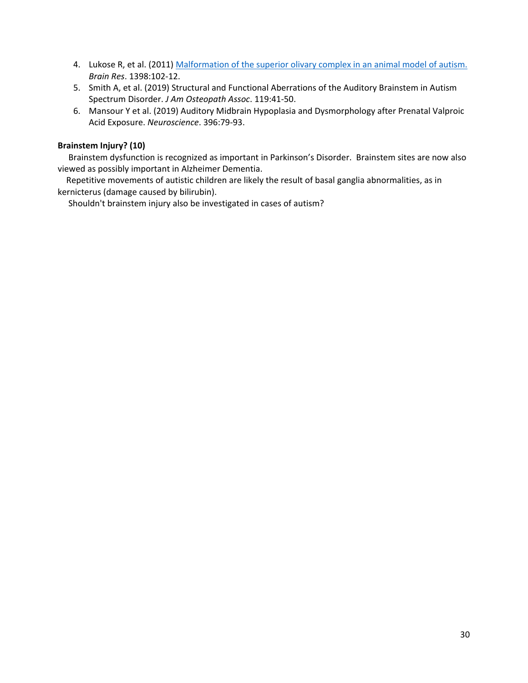- 4. Lukose R, et al. (2011) [Malformation of the superior olivary complex in an animal model of autism.](https://pubmed.ncbi.nlm.nih.gov/21636076/) *Brain Res*. 1398:102-12.
- 5. Smith A, et al. (2019) Structural and Functional Aberrations of the Auditory Brainstem in Autism Spectrum Disorder. *J Am Osteopath Assoc*. 119:41-50.
- 6. Mansour Y et al. (2019) Auditory Midbrain Hypoplasia and Dysmorphology after Prenatal Valproic Acid Exposure. *Neuroscience*. 396:79-93.

# **Brainstem Injury? (10)**

 Brainstem dysfunction is recognized as important in Parkinson's Disorder. Brainstem sites are now also viewed as possibly important in Alzheimer Dementia.

Repetitive movements of autistic children are likely the result of basal ganglia abnormalities, as in kernicterus (damage caused by bilirubin).

Shouldn't brainstem injury also be investigated in cases of autism?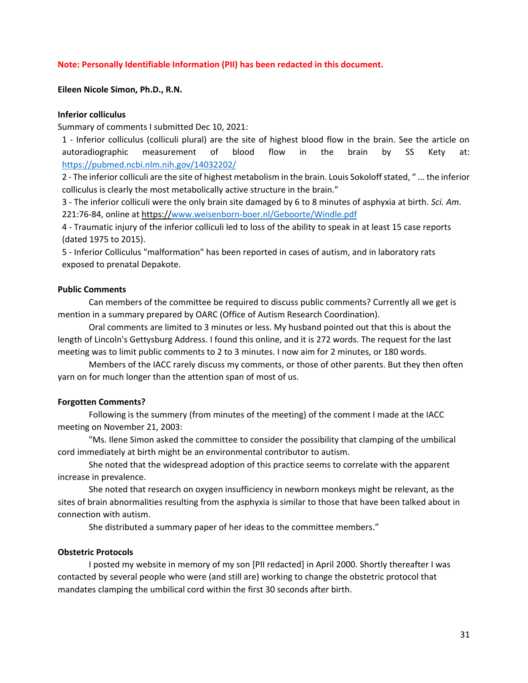#### **Note: Personally Identifiable Information (PII) has been redacted in this document.**

#### <span id="page-30-0"></span>**Eileen Nicole Simon, Ph.D., R.N.**

#### **Inferior colliculus**

Summary of comments I submitted Dec 10, 2021:

1 - Inferior colliculus (colliculi plural) are the site of highest blood flow in the brain. See the article on autoradiographic measurement of blood flow in the brain by SS Kety at: <https://pubmed.ncbi.nlm.nih.gov/14032202/>

2 - The inferior colliculi are the site of highest metabolism in the brain. Louis Sokoloff stated, " ... the inferior colliculus is clearly the most metabolically active structure in the brain."

3 - The inferior colliculi were the only brain site damaged by 6 to 8 minutes of asphyxia at birth. *Sci. Am.*  221:76-84, online at https:/[/www.weisenborn-boer.nl/Geboorte/Windle.pdf](http://www.weisenborn-boer.nl/Geboorte/Windle.pdf)

4 - Traumatic injury of the inferior colliculi led to loss of the ability to speak in at least 15 case reports (dated 1975 to 2015).

5 - Inferior Colliculus "malformation" has been reported in cases of autism, and in laboratory rats exposed to prenatal Depakote.

#### **Public Comments**

Can members of the committee be required to discuss public comments? Currently all we get is mention in a summary prepared by OARC (Office of Autism Research Coordination).

Oral comments are limited to 3 minutes or less. My husband pointed out that this is about the length of Lincoln's Gettysburg Address. I found this online, and it is 272 words. The request for the last meeting was to limit public comments to 2 to 3 minutes. I now aim for 2 minutes, or 180 words.

Members of the IACC rarely discuss my comments, or those of other parents. But they then often yarn on for much longer than the attention span of most of us.

#### **Forgotten Comments?**

Following is the summery (from minutes of the meeting) of the comment I made at the IACC meeting on November 21, 2003:

"Ms. Ilene Simon asked the committee to consider the possibility that clamping of the umbilical cord immediately at birth might be an environmental contributor to autism.

She noted that the widespread adoption of this practice seems to correlate with the apparent increase in prevalence.

She noted that research on oxygen insufficiency in newborn monkeys might be relevant, as the sites of brain abnormalities resulting from the asphyxia is similar to those that have been talked about in connection with autism.

She distributed a summary paper of her ideas to the committee members."

#### **Obstetric Protocols**

I posted my website in memory of my son [PII redacted] in April 2000. Shortly thereafter I was contacted by several people who were (and still are) working to change the obstetric protocol that mandates clamping the umbilical cord within the first 30 seconds after birth.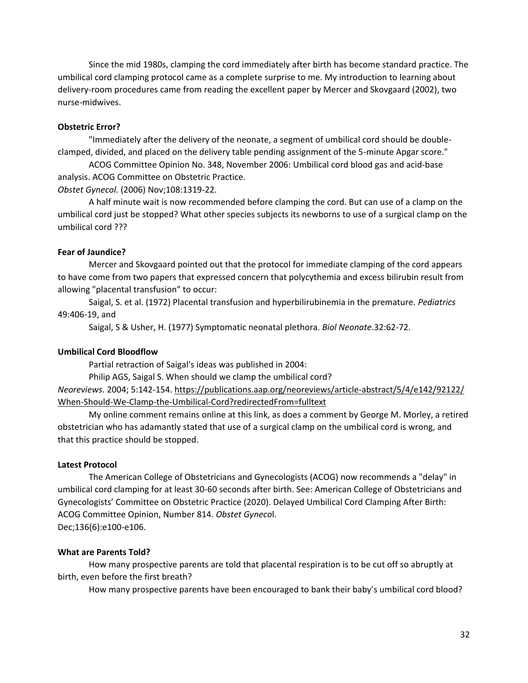Since the mid 1980s, clamping the cord immediately after birth has become standard practice. The umbilical cord clamping protocol came as a complete surprise to me. My introduction to learning about delivery-room procedures came from reading the excellent paper by Mercer and Skovgaard (2002), two nurse-midwives.

#### **Obstetric Error?**

"Immediately after the delivery of the neonate, a segment of umbilical cord should be doubleclamped, divided, and placed on the delivery table pending assignment of the 5-minute Apgar score."

ACOG Committee Opinion No. 348, November 2006: Umbilical cord blood gas and acid-base analysis. ACOG Committee on Obstetric Practice.

*Obstet Gynecol.* (2006) Nov;108:1319-22.

A half minute wait is now recommended before clamping the cord. But can use of a clamp on the umbilical cord just be stopped? What other species subjects its newborns to use of a surgical clamp on the umbilical cord ???

## **Fear of Jaundice?**

Mercer and Skovgaard pointed out that the protocol for immediate clamping of the cord appears to have come from two papers that expressed concern that polycythemia and excess bilirubin result from allowing "placental transfusion" to occur:

Saigal, S. et al. (1972) Placental transfusion and hyperbilirubinemia in the premature. *Pediatrics*  49:406-19, and

Saigal, S & Usher, H. (1977) Symptomatic neonatal plethora. *Biol Neonate*.32:62-72.

# **Umbilical Cord Bloodflow**

Partial retraction of Saigal's ideas was published in 2004:

Philip AGS, Saigal S. When should we clamp the umbilical cord?

*Neoreviews.* 2004; 5:142-154. https://publications.aap.org/neoreviews/article-abstract/5/4/e142/92122/ When-Should-We-Clamp-the-Umbilical-Cord?redirectedFrom=fulltext

My online comment remains online at this link, as does a comment by George M. Morley, a retired obstetrician who has adamantly stated that use of a surgical clamp on the umbilical cord is wrong, and that this practice should be stopped.

#### **Latest Protocol**

The American College of Obstetricians and Gynecologists (ACOG) now recommends a "delay" in umbilical cord clamping for at least 30-60 seconds after birth. See: American College of Obstetricians and Gynecologists' Committee on Obstetric Practice (2020). Delayed Umbilical Cord Clamping After Birth: ACOG Committee Opinion, Number 814. *Obstet Gyneco*l. Dec;136(6):e100-e106.

#### **What are Parents Told?**

How many prospective parents are told that placental respiration is to be cut off so abruptly at birth, even before the first breath?

How many prospective parents have been encouraged to bank their baby's umbilical cord blood?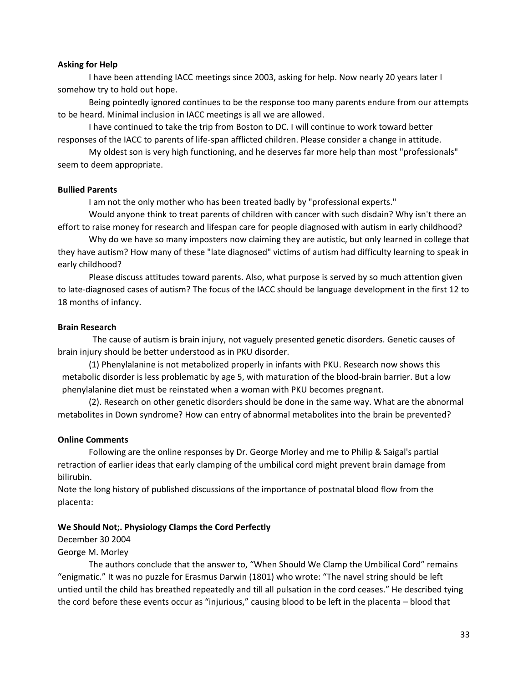#### **Asking for Help**

I have been attending IACC meetings since 2003, asking for help. Now nearly 20 years later I somehow try to hold out hope.

Being pointedly ignored continues to be the response too many parents endure from our attempts to be heard. Minimal inclusion in IACC meetings is all we are allowed.

I have continued to take the trip from Boston to DC. I will continue to work toward better responses of the IACC to parents of life-span afflicted children. Please consider a change in attitude.

My oldest son is very high functioning, and he deserves far more help than most "professionals" seem to deem appropriate.

#### **Bullied Parents**

I am not the only mother who has been treated badly by "professional experts."

Would anyone think to treat parents of children with cancer with such disdain? Why isn't there an effort to raise money for research and lifespan care for people diagnosed with autism in early childhood?

Why do we have so many imposters now claiming they are autistic, but only learned in college that they have autism? How many of these "late diagnosed" victims of autism had difficulty learning to speak in early childhood?

Please discuss attitudes toward parents. Also, what purpose is served by so much attention given to late-diagnosed cases of autism? The focus of the IACC should be language development in the first 12 to 18 months of infancy.

## **Brain Research**

The cause of autism is brain injury, not vaguely presented genetic disorders. Genetic causes of brain injury should be better understood as in PKU disorder.

(1) Phenylalanine is not metabolized properly in infants with PKU. Research now shows this metabolic disorder is less problematic by age 5, with maturation of the blood-brain barrier. But a low phenylalanine diet must be reinstated when a woman with PKU becomes pregnant.

(2). Research on other genetic disorders should be done in the same way. What are the abnormal metabolites in Down syndrome? How can entry of abnormal metabolites into the brain be prevented?

# **Online Comments**

Following are the online responses by Dr. George Morley and me to Philip & Saigal's partial retraction of earlier ideas that early clamping of the umbilical cord might prevent brain damage from bilirubin.

Note the long history of published discussions of the importance of postnatal blood flow from the placenta:

#### **We Should Not;. Physiology Clamps the Cord Perfectly**

December 30 2004

George M. Morley

The authors conclude that the answer to, "When Should We Clamp the Umbilical Cord" remains "enigmatic." It was no puzzle for Erasmus Darwin (1801) who wrote: "The navel string should be left untied until the child has breathed repeatedly and till all pulsation in the cord ceases." He described tying the cord before these events occur as "injurious," causing blood to be left in the placenta – blood that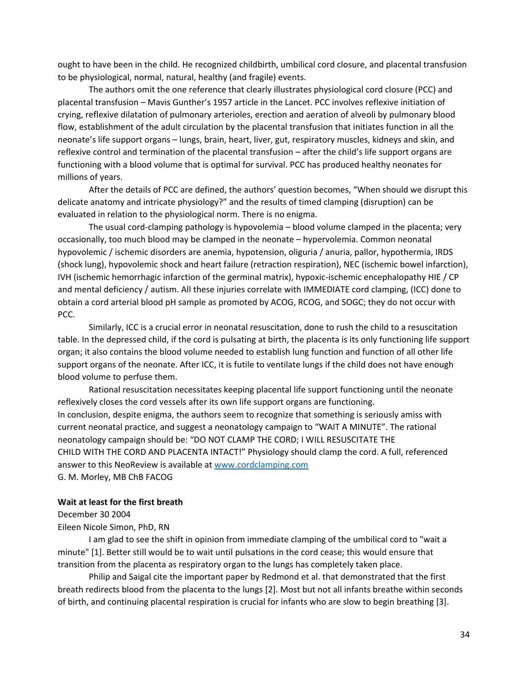ought to have been in the child. He recognized childbirth, umbilical cord closure, and placental transfusion to be physiological, normal, natural, healthy (and fragile) events.

The authors omit the one reference that clearly illustrates physiological cord closure (PCC) and placental transfusion – Mavis Gunther's 1957 article in the Lancet. PCC involves reflexive initiation of crying, reflexive dilatation of pulmonary arterioles, erection and aeration of alveoli by pulmonary blood flow, establishment of the adult circulation by the placental transfusion that initiates function in all the neonate's life support organs – lungs, brain, heart, liver, gut, respiratory muscles, kidneys and skin, and reflexive control and termination of the placental transfusion – after the child's life support organs are functioning with a blood volume that is optimal for survival. PCC has produced healthy neonates for millions of years.

After the details of PCC are defined, the authors' question becomes, "When should we disrupt this delicate anatomy and intricate physiology?" and the results of timed clamping (disruption) can be evaluated in relation to the physiological norm. There is no enigma.

The usual cord-clamping pathology is hypovolemia – blood volume clamped in the placenta; very occasionally, too much blood may be clamped in the neonate – hypervolemia. Common neonatal hypovolemic / ischemic disorders are anemia, hypotension, oliguria / anuria, pallor, hypothermia, IRDS (shock lung), hypovolemic shock and heart failure (retraction respiration), NEC (ischemic bowel infarction), IVH (ischemic hemorrhagic infarction of the germinal matrix), hypoxic-ischemic encephalopathy HIE / CP and mental deficiency / autism. All these injuries correlate with IMMEDIATE cord clamping, (ICC) done to obtain a cord arterial blood pH sample as promoted by ACOG, RCOG, and SOGC; they do not occur with PCC.

Similarly, ICC is a crucial error in neonatal resuscitation, done to rush the child to a resuscitation table. In the depressed child, if the cord is pulsating at birth, the placenta is its only functioning life support organ; it also contains the blood volume needed to establish lung function and function of all other life support organs of the neonate. After ICC, it is futile to ventilate lungs if the child does not have enough blood volume to perfuse them.

Rational resuscitation necessitates keeping placental life support functioning until the neonate reflexively closes the cord vessels after its own life support organs are functioning. In conclusion, despite enigma, the authors seem to recognize that something is seriously amiss with current neonatal practice, and suggest a neonatology campaign to "WAIT A MINUTE". The rational neonatology campaign should be: "DO NOT CLAMP THE CORD; I WILL RESUSCITATE THE CHILD WITH THE CORD AND PLACENTA INTACT!" Physiology should clamp the cord. A full, referenced answer to this NeoReview is available a[t www.cordclamping.com](http://www.cordclamping.com/) G. M. Morley, MB ChB FACOG

#### **Wait at least for the first breath**

December 30 2004

Eileen Nicole Simon, PhD, RN

I am glad to see the shift in opinion from immediate clamping of the umbilical cord to "wait a minute" [1]. Better still would be to wait until pulsations in the cord cease; this would ensure that transition from the placenta as respiratory organ to the lungs has completely taken place.

Philip and Saigal cite the important paper by Redmond et al. that demonstrated that the first breath redirects blood from the placenta to the lungs [2]. Most but not all infants breathe within seconds of birth, and continuing placental respiration is crucial for infants who are slow to begin breathing [3].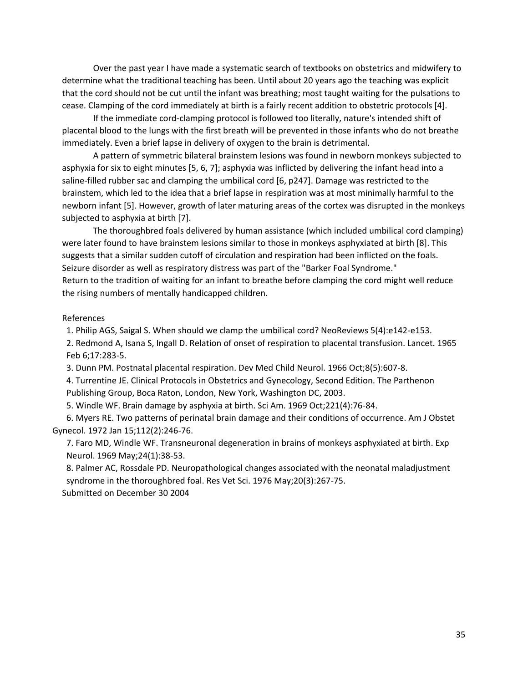Over the past year I have made a systematic search of textbooks on obstetrics and midwifery to determine what the traditional teaching has been. Until about 20 years ago the teaching was explicit that the cord should not be cut until the infant was breathing; most taught waiting for the pulsations to cease. Clamping of the cord immediately at birth is a fairly recent addition to obstetric protocols [4].

If the immediate cord-clamping protocol is followed too literally, nature's intended shift of placental blood to the lungs with the first breath will be prevented in those infants who do not breathe immediately. Even a brief lapse in delivery of oxygen to the brain is detrimental.

A pattern of symmetric bilateral brainstem lesions was found in newborn monkeys subjected to asphyxia for six to eight minutes [5, 6, 7]; asphyxia was inflicted by delivering the infant head into a saline-filled rubber sac and clamping the umbilical cord [6, p247]. Damage was restricted to the brainstem, which led to the idea that a brief lapse in respiration was at most minimally harmful to the newborn infant [5]. However, growth of later maturing areas of the cortex was disrupted in the monkeys subjected to asphyxia at birth [7].

The thoroughbred foals delivered by human assistance (which included umbilical cord clamping) were later found to have brainstem lesions similar to those in monkeys asphyxiated at birth [8]. This suggests that a similar sudden cutoff of circulation and respiration had been inflicted on the foals. Seizure disorder as well as respiratory distress was part of the "Barker Foal Syndrome." Return to the tradition of waiting for an infant to breathe before clamping the cord might well reduce the rising numbers of mentally handicapped children.

# References

1. Philip AGS, Saigal S. When should we clamp the umbilical cord? NeoReviews 5(4):e142-e153.

2. Redmond A, Isana S, Ingall D. Relation of onset of respiration to placental transfusion. Lancet. 1965 Feb 6;17:283-5.

3. Dunn PM. Postnatal placental respiration. Dev Med Child Neurol. 1966 Oct;8(5):607-8.

4. Turrentine JE. Clinical Protocols in Obstetrics and Gynecology, Second Edition. The Parthenon Publishing Group, Boca Raton, London, New York, Washington DC, 2003.

5. Windle WF. Brain damage by asphyxia at birth. Sci Am. 1969 Oct;221(4):76-84.

6. Myers RE. Two patterns of perinatal brain damage and their conditions of occurrence. Am J Obstet Gynecol. 1972 Jan 15;112(2):246-76.

7. Faro MD, Windle WF. Transneuronal degeneration in brains of monkeys asphyxiated at birth. Exp Neurol. 1969 May;24(1):38-53.

8. Palmer AC, Rossdale PD. Neuropathological changes associated with the neonatal maladjustment syndrome in the thoroughbred foal. Res Vet Sci. 1976 May;20(3):267-75.

Submitted on December 30 2004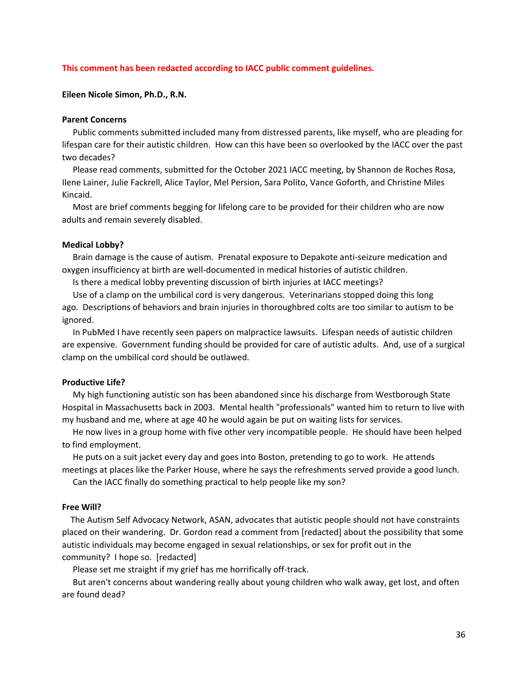#### **This comment has been redacted according to IACC public comment guidelines.**

#### <span id="page-35-0"></span>**Eileen Nicole Simon, Ph.D., R.N.**

#### **Parent Concerns**

 Public comments submitted included many from distressed parents, like myself, who are pleading for lifespan care for their autistic children. How can this have been so overlooked by the IACC over the past two decades?

 Please read comments, submitted for the October 2021 IACC meeting, by Shannon de Roches Rosa, Ilene Lainer, Julie Fackrell, Alice Taylor, Mel Persion, Sara Polito, Vance Goforth, and Christine Miles Kincaid.

 Most are brief comments begging for lifelong care to be provided for their children who are now adults and remain severely disabled.

#### **Medical Lobby?**

 Brain damage is the cause of autism. Prenatal exposure to Depakote anti-seizure medication and oxygen insufficiency at birth are well-documented in medical histories of autistic children.

Is there a medical lobby preventing discussion of birth injuries at IACC meetings?

 Use of a clamp on the umbilical cord is very dangerous. Veterinarians stopped doing this long ago. Descriptions of behaviors and brain injuries in thoroughbred colts are too similar to autism to be ignored.

 In PubMed I have recently seen papers on malpractice lawsuits. Lifespan needs of autistic children are expensive. Government funding should be provided for care of autistic adults. And, use of a surgical clamp on the umbilical cord should be outlawed.

#### **Productive Life?**

 My high functioning autistic son has been abandoned since his discharge from Westborough State Hospital in Massachusetts back in 2003. Mental health "professionals" wanted him to return to live with my husband and me, where at age 40 he would again be put on waiting lists for services.

 He now lives in a group home with five other very incompatible people. He should have been helped to find employment.

 He puts on a suit jacket every day and goes into Boston, pretending to go to work. He attends meetings at places like the Parker House, where he says the refreshments served provide a good lunch.

Can the IACC finally do something practical to help people like my son?

#### **Free Will?**

The Autism Self Advocacy Network, ASAN, advocates that autistic people should not have constraints placed on their wandering. Dr. Gordon read a comment from [redacted] about the possibility that some autistic individuals may become engaged in sexual relationships, or sex for profit out in the community? I hope so. [redacted]

Please set me straight if my grief has me horrifically off-track.

 But aren't concerns about wandering really about young children who walk away, get lost, and often are found dead?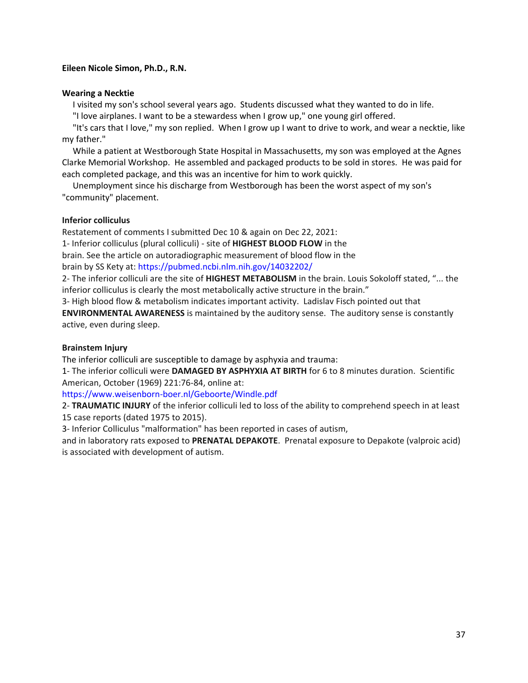# <span id="page-36-0"></span>**Eileen Nicole Simon, Ph.D., R.N.**

## **Wearing a Necktie**

I visited my son's school several years ago. Students discussed what they wanted to do in life.

"I love airplanes. I want to be a stewardess when I grow up," one young girl offered.

 "It's cars that I love," my son replied. When I grow up I want to drive to work, and wear a necktie, like my father."

 While a patient at Westborough State Hospital in Massachusetts, my son was employed at the Agnes Clarke Memorial Workshop. He assembled and packaged products to be sold in stores. He was paid for each completed package, and this was an incentive for him to work quickly.

 Unemployment since his discharge from Westborough has been the worst aspect of my son's "community" placement.

# **Inferior colliculus**

Restatement of comments I submitted Dec 10 & again on Dec 22, 2021: 1- Inferior colliculus (plural colliculi) - site of **HIGHEST BLOOD FLOW** in the

brain. See the article on autoradiographic measurement of blood flow in the

brain by SS Kety at:<https://pubmed.ncbi.nlm.nih.gov/14032202/>

2- The inferior colliculi are the site of **HIGHEST METABOLISM** in the brain. Louis Sokoloff stated, "... the inferior colliculus is clearly the most metabolically active structure in the brain."

3- High blood flow & metabolism indicates important activity. Ladislav Fisch pointed out that **ENVIRONMENTAL AWARENESS** is maintained by the auditory sense. The auditory sense is constantly active, even during sleep.

# **Brainstem Injury**

The inferior colliculi are susceptible to damage by asphyxia and trauma:

1- The inferior colliculi were **DAMAGED BY ASPHYXIA AT BIRTH** for 6 to 8 minutes duration. Scientific American, October (1969) 221:76-84, online at:

<https://www.weisenborn-boer.nl/Geboorte/Windle.pdf>

2- **TRAUMATIC INJURY** of the inferior colliculi led to loss of the ability to comprehend speech in at least 15 case reports (dated 1975 to 2015).

3- Inferior Colliculus "malformation" has been reported in cases of autism,

and in laboratory rats exposed to **PRENATAL DEPAKOTE**. Prenatal exposure to Depakote (valproic acid) is associated with development of autism.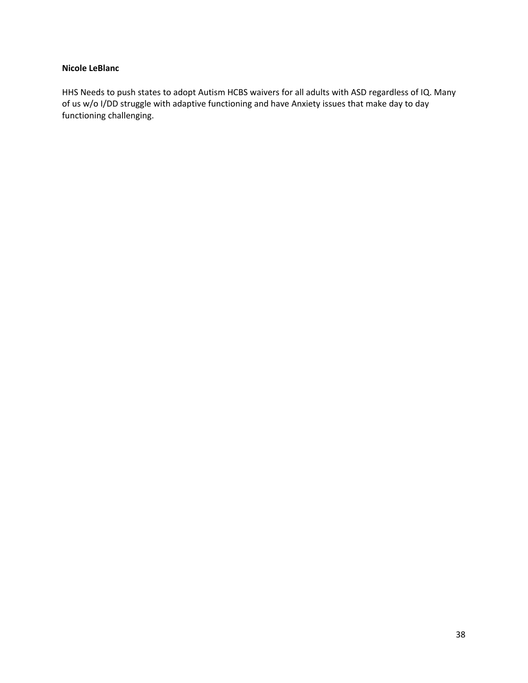# <span id="page-37-0"></span>**Nicole LeBlanc**

HHS Needs to push states to adopt Autism HCBS waivers for all adults with ASD regardless of IQ. Many of us w/o I/DD struggle with adaptive functioning and have Anxiety issues that make day to day functioning challenging.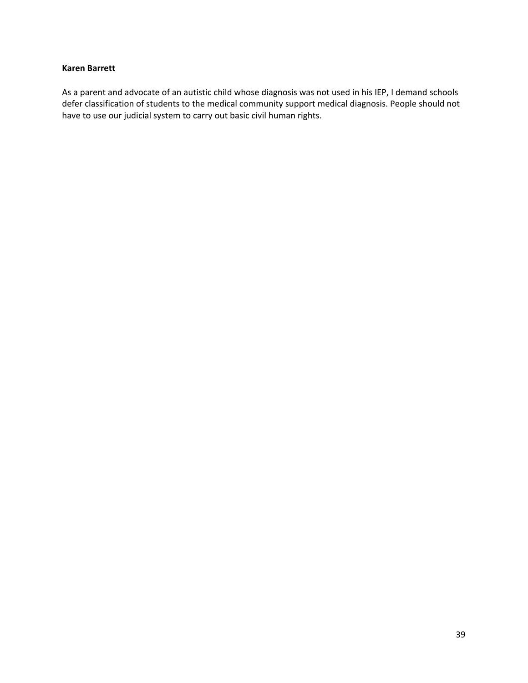## <span id="page-38-0"></span>**Karen Barrett**

As a parent and advocate of an autistic child whose diagnosis was not used in his IEP, I demand schools defer classification of students to the medical community support medical diagnosis. People should not have to use our judicial system to carry out basic civil human rights.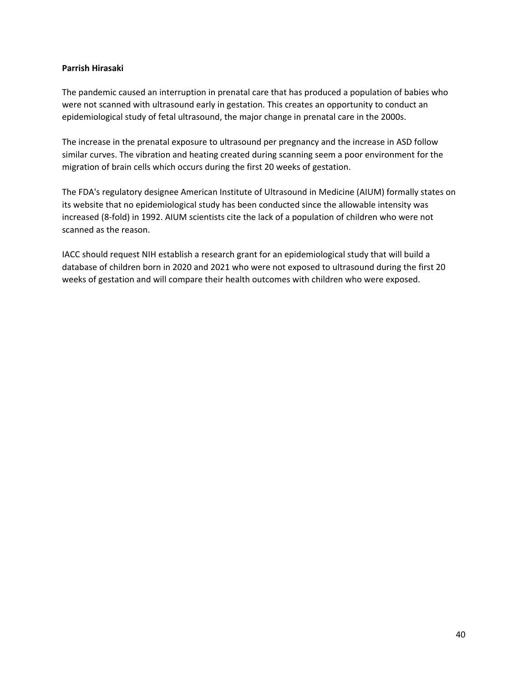# <span id="page-39-0"></span>**Parrish Hirasaki**

The pandemic caused an interruption in prenatal care that has produced a population of babies who were not scanned with ultrasound early in gestation. This creates an opportunity to conduct an epidemiological study of fetal ultrasound, the major change in prenatal care in the 2000s.

The increase in the prenatal exposure to ultrasound per pregnancy and the increase in ASD follow similar curves. The vibration and heating created during scanning seem a poor environment for the migration of brain cells which occurs during the first 20 weeks of gestation.

The FDA's regulatory designee American Institute of Ultrasound in Medicine (AIUM) formally states on its website that no epidemiological study has been conducted since the allowable intensity was increased (8-fold) in 1992. AIUM scientists cite the lack of a population of children who were not scanned as the reason.

IACC should request NIH establish a research grant for an epidemiological study that will build a database of children born in 2020 and 2021 who were not exposed to ultrasound during the first 20 weeks of gestation and will compare their health outcomes with children who were exposed.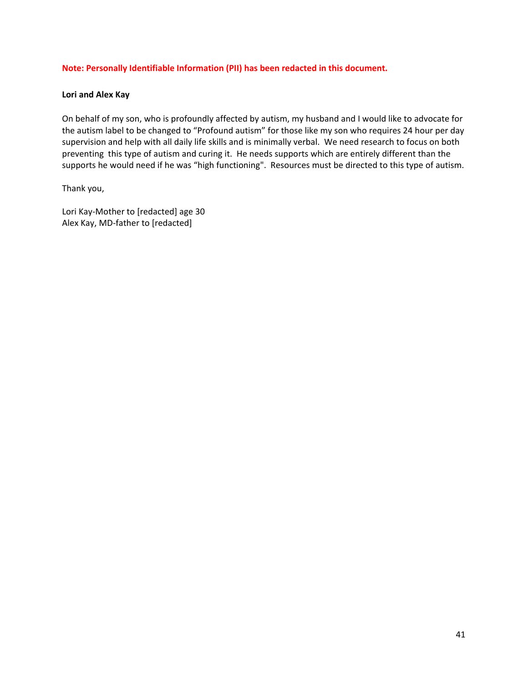# **Note: Personally Identifiable Information (PII) has been redacted in this document.**

## <span id="page-40-0"></span>**Lori and Alex Kay**

On behalf of my son, who is profoundly affected by autism, my husband and I would like to advocate for the autism label to be changed to "Profound autism" for those like my son who requires 24 hour per day supervision and help with all daily life skills and is minimally verbal. We need research to focus on both preventing this type of autism and curing it. He needs supports which are entirely different than the supports he would need if he was "high functioning". Resources must be directed to this type of autism.

Thank you,

Lori Kay-Mother to [redacted] age 30 Alex Kay, MD-father to [redacted]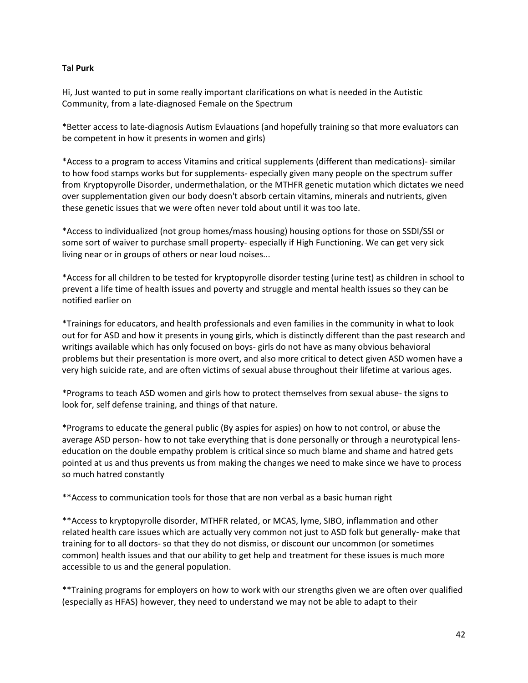# <span id="page-41-0"></span>**Tal Purk**

Hi, Just wanted to put in some really important clarifications on what is needed in the Autistic Community, from a late-diagnosed Female on the Spectrum

\*Better access to late-diagnosis Autism Evlauations (and hopefully training so that more evaluators can be competent in how it presents in women and girls)

\*Access to a program to access Vitamins and critical supplements (different than medications)- similar to how food stamps works but for supplements- especially given many people on the spectrum suffer from Kryptopyrolle Disorder, undermethalation, or the MTHFR genetic mutation which dictates we need over supplementation given our body doesn't absorb certain vitamins, minerals and nutrients, given these genetic issues that we were often never told about until it was too late.

\*Access to individualized (not group homes/mass housing) housing options for those on SSDI/SSI or some sort of waiver to purchase small property- especially if High Functioning. We can get very sick living near or in groups of others or near loud noises...

\*Access for all children to be tested for kryptopyrolle disorder testing (urine test) as children in school to prevent a life time of health issues and poverty and struggle and mental health issues so they can be notified earlier on

\*Trainings for educators, and health professionals and even families in the community in what to look out for for ASD and how it presents in young girls, which is distinctly different than the past research and writings available which has only focused on boys- girls do not have as many obvious behavioral problems but their presentation is more overt, and also more critical to detect given ASD women have a very high suicide rate, and are often victims of sexual abuse throughout their lifetime at various ages.

\*Programs to teach ASD women and girls how to protect themselves from sexual abuse- the signs to look for, self defense training, and things of that nature.

\*Programs to educate the general public (By aspies for aspies) on how to not control, or abuse the average ASD person- how to not take everything that is done personally or through a neurotypical lenseducation on the double empathy problem is critical since so much blame and shame and hatred gets pointed at us and thus prevents us from making the changes we need to make since we have to process so much hatred constantly

\*\*Access to communication tools for those that are non verbal as a basic human right

\*\*Access to kryptopyrolle disorder, MTHFR related, or MCAS, lyme, SIBO, inflammation and other related health care issues which are actually very common not just to ASD folk but generally- make that training for to all doctors- so that they do not dismiss, or discount our uncommon (or sometimes common) health issues and that our ability to get help and treatment for these issues is much more accessible to us and the general population.

\*\*Training programs for employers on how to work with our strengths given we are often over qualified (especially as HFAS) however, they need to understand we may not be able to adapt to their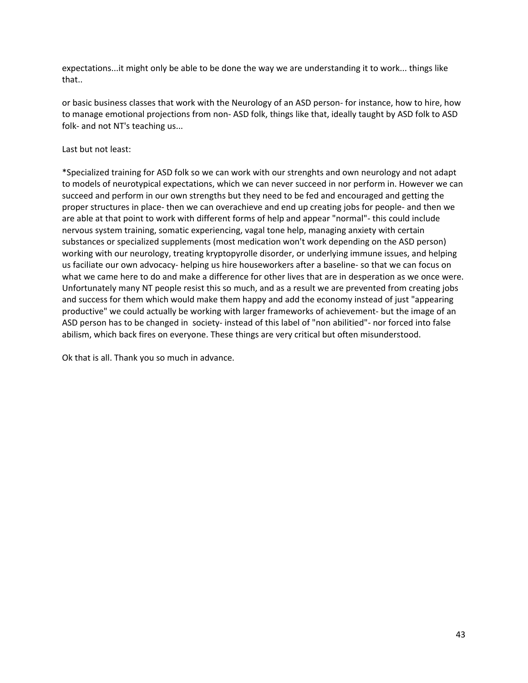expectations...it might only be able to be done the way we are understanding it to work... things like that..

or basic business classes that work with the Neurology of an ASD person- for instance, how to hire, how to manage emotional projections from non- ASD folk, things like that, ideally taught by ASD folk to ASD folk- and not NT's teaching us...

Last but not least:

\*Specialized training for ASD folk so we can work with our strenghts and own neurology and not adapt to models of neurotypical expectations, which we can never succeed in nor perform in. However we can succeed and perform in our own strengths but they need to be fed and encouraged and getting the proper structures in place- then we can overachieve and end up creating jobs for people- and then we are able at that point to work with different forms of help and appear "normal"- this could include nervous system training, somatic experiencing, vagal tone help, managing anxiety with certain substances or specialized supplements (most medication won't work depending on the ASD person) working with our neurology, treating kryptopyrolle disorder, or underlying immune issues, and helping us faciliate our own advocacy- helping us hire houseworkers after a baseline- so that we can focus on what we came here to do and make a difference for other lives that are in desperation as we once were. Unfortunately many NT people resist this so much, and as a result we are prevented from creating jobs and success for them which would make them happy and add the economy instead of just "appearing productive" we could actually be working with larger frameworks of achievement- but the image of an ASD person has to be changed in society- instead of this label of "non abilitied"- nor forced into false abilism, which back fires on everyone. These things are very critical but often misunderstood.

Ok that is all. Thank you so much in advance.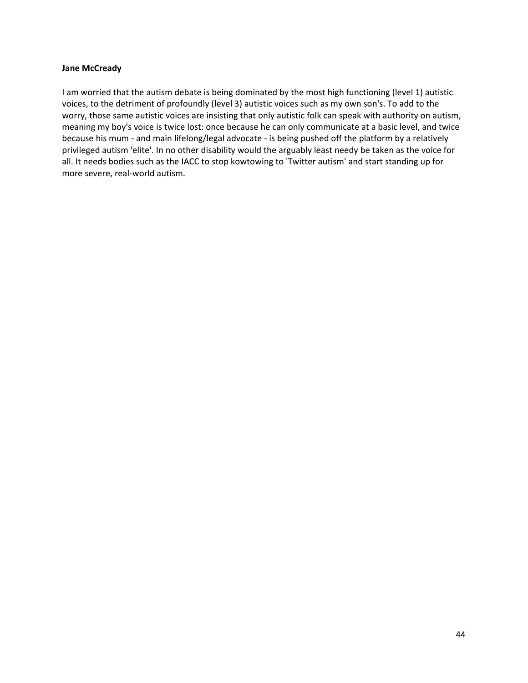#### <span id="page-43-0"></span>**Jane McCready**

I am worried that the autism debate is being dominated by the most high functioning (level 1) autistic voices, to the detriment of profoundly (level 3) autistic voices such as my own son's. To add to the worry, those same autistic voices are insisting that only autistic folk can speak with authority on autism, meaning my boy's voice is twice lost: once because he can only communicate at a basic level, and twice because his mum - and main lifelong/legal advocate - is being pushed off the platform by a relatively privileged autism 'elite'. In no other disability would the arguably least needy be taken as the voice for all. It needs bodies such as the IACC to stop kowtowing to 'Twitter autism' and start standing up for more severe, real-world autism.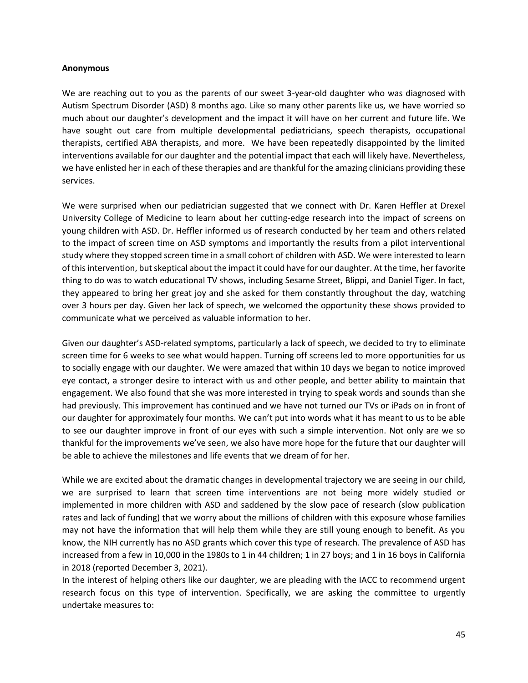#### <span id="page-44-0"></span>**Anonymous**

We are reaching out to you as the parents of our sweet 3-year-old daughter who was diagnosed with Autism Spectrum Disorder (ASD) 8 months ago. Like so many other parents like us, we have worried so much about our daughter's development and the impact it will have on her current and future life. We have sought out care from multiple developmental pediatricians, speech therapists, occupational therapists, certified ABA therapists, and more. We have been repeatedly disappointed by the limited interventions available for our daughter and the potential impact that each will likely have. Nevertheless, we have enlisted her in each of these therapies and are thankful for the amazing clinicians providing these services.

We were surprised when our pediatrician suggested that we connect with Dr. Karen Heffler at Drexel University College of Medicine to learn about her cutting-edge research into the impact of screens on young children with ASD. Dr. Heffler informed us of research conducted by her team and others related to the impact of screen time on ASD symptoms and importantly the results from a pilot interventional study where they stopped screen time in a small cohort of children with ASD. We were interested to learn of this intervention, but skeptical about the impact it could have for our daughter. At the time, her favorite thing to do was to watch educational TV shows, including Sesame Street, Blippi, and Daniel Tiger. In fact, they appeared to bring her great joy and she asked for them constantly throughout the day, watching over 3 hours per day. Given her lack of speech, we welcomed the opportunity these shows provided to communicate what we perceived as valuable information to her.

Given our daughter's ASD-related symptoms, particularly a lack of speech, we decided to try to eliminate screen time for 6 weeks to see what would happen. Turning off screens led to more opportunities for us to socially engage with our daughter. We were amazed that within 10 days we began to notice improved eye contact, a stronger desire to interact with us and other people, and better ability to maintain that engagement. We also found that she was more interested in trying to speak words and sounds than she had previously. This improvement has continued and we have not turned our TVs or iPads on in front of our daughter for approximately four months. We can't put into words what it has meant to us to be able to see our daughter improve in front of our eyes with such a simple intervention. Not only are we so thankful for the improvements we've seen, we also have more hope for the future that our daughter will be able to achieve the milestones and life events that we dream of for her.

While we are excited about the dramatic changes in developmental trajectory we are seeing in our child, we are surprised to learn that screen time interventions are not being more widely studied or implemented in more children with ASD and saddened by the slow pace of research (slow publication rates and lack of funding) that we worry about the millions of children with this exposure whose families may not have the information that will help them while they are still young enough to benefit. As you know, the NIH currently has no ASD grants which cover this type of research. The prevalence of ASD has increased from a few in 10,000 in the 1980s to 1 in 44 children; 1 in 27 boys; and 1 in 16 boys in California in 2018 (reported December 3, 2021).

In the interest of helping others like our daughter, we are pleading with the IACC to recommend urgent research focus on this type of intervention. Specifically, we are asking the committee to urgently undertake measures to: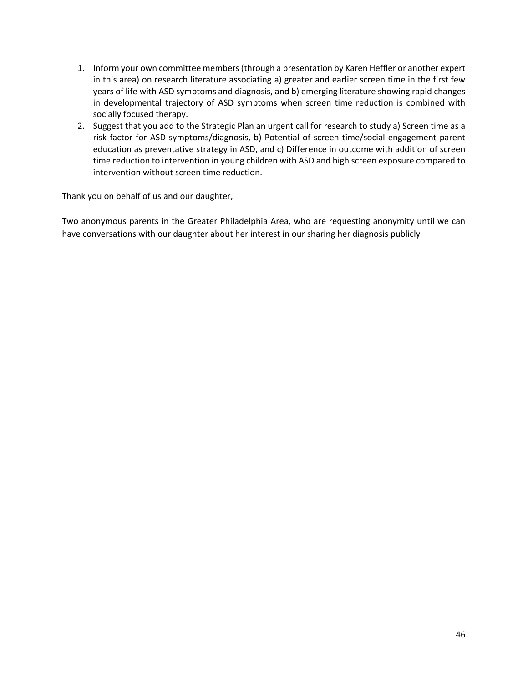- 1. Inform your own committee members (through a presentation by Karen Heffler or another expert in this area) on research literature associating a) greater and earlier screen time in the first few years of life with ASD symptoms and diagnosis, and b) emerging literature showing rapid changes in developmental trajectory of ASD symptoms when screen time reduction is combined with socially focused therapy.
- 2. Suggest that you add to the Strategic Plan an urgent call for research to study a) Screen time as a risk factor for ASD symptoms/diagnosis, b) Potential of screen time/social engagement parent education as preventative strategy in ASD, and c) Difference in outcome with addition of screen time reduction to intervention in young children with ASD and high screen exposure compared to intervention without screen time reduction.

Thank you on behalf of us and our daughter,

Two anonymous parents in the Greater Philadelphia Area, who are requesting anonymity until we can have conversations with our daughter about her interest in our sharing her diagnosis publicly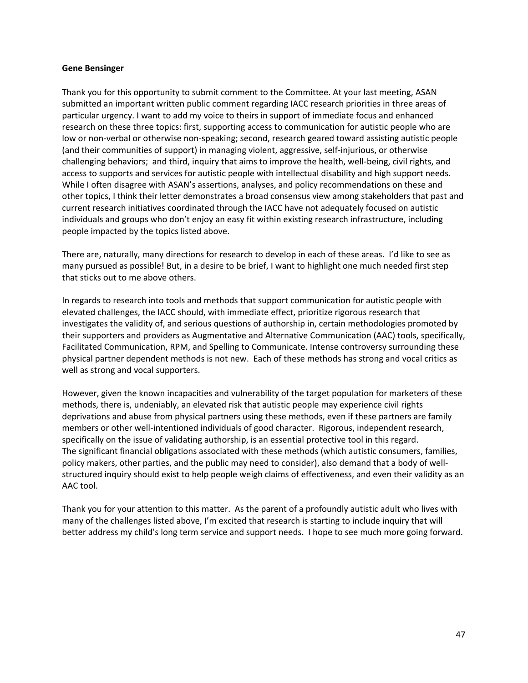#### <span id="page-46-0"></span>**Gene Bensinger**

Thank you for this opportunity to submit comment to the Committee. At your last meeting, ASAN submitted an important written public comment regarding IACC research priorities in three areas of particular urgency. I want to add my voice to theirs in support of immediate focus and enhanced research on these three topics: first, supporting access to communication for autistic people who are low or non-verbal or otherwise non-speaking; second, research geared toward assisting autistic people (and their communities of support) in managing violent, aggressive, self-injurious, or otherwise challenging behaviors; and third, inquiry that aims to improve the health, well-being, civil rights, and access to supports and services for autistic people with intellectual disability and high support needs. While I often disagree with ASAN's assertions, analyses, and policy recommendations on these and other topics, I think their letter demonstrates a broad consensus view among stakeholders that past and current research initiatives coordinated through the IACC have not adequately focused on autistic individuals and groups who don't enjoy an easy fit within existing research infrastructure, including people impacted by the topics listed above.

There are, naturally, many directions for research to develop in each of these areas. I'd like to see as many pursued as possible! But, in a desire to be brief, I want to highlight one much needed first step that sticks out to me above others.

In regards to research into tools and methods that support communication for autistic people with elevated challenges, the IACC should, with immediate effect, prioritize rigorous research that investigates the validity of, and serious questions of authorship in, certain methodologies promoted by their supporters and providers as Augmentative and Alternative Communication (AAC) tools, specifically, Facilitated Communication, RPM, and Spelling to Communicate. Intense controversy surrounding these physical partner dependent methods is not new. Each of these methods has strong and vocal critics as well as strong and vocal supporters.

However, given the known incapacities and vulnerability of the target population for marketers of these methods, there is, undeniably, an elevated risk that autistic people may experience civil rights deprivations and abuse from physical partners using these methods, even if these partners are family members or other well-intentioned individuals of good character. Rigorous, independent research, specifically on the issue of validating authorship, is an essential protective tool in this regard. The significant financial obligations associated with these methods (which autistic consumers, families, policy makers, other parties, and the public may need to consider), also demand that a body of wellstructured inquiry should exist to help people weigh claims of effectiveness, and even their validity as an AAC tool.

Thank you for your attention to this matter. As the parent of a profoundly autistic adult who lives with many of the challenges listed above, I'm excited that research is starting to include inquiry that will better address my child's long term service and support needs. I hope to see much more going forward.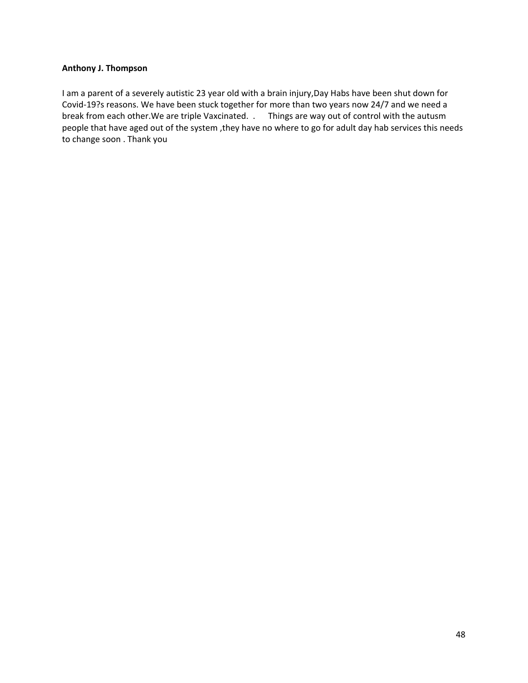## <span id="page-47-0"></span>**Anthony J. Thompson**

I am a parent of a severely autistic 23 year old with a brain injury,Day Habs have been shut down for Covid-19?s reasons. We have been stuck together for more than two years now 24/7 and we need a break from each other.We are triple Vaxcinated. . Things are way out of control with the autusm people that have aged out of the system ,they have no where to go for adult day hab services this needs to change soon . Thank you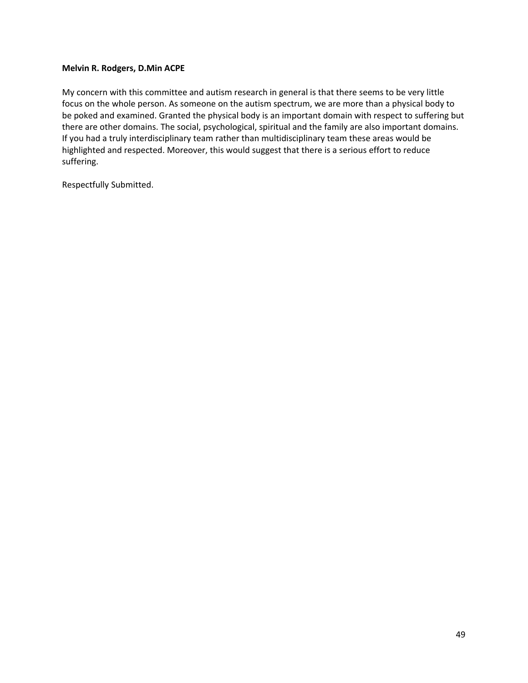## <span id="page-48-0"></span>**Melvin R. Rodgers, D.Min ACPE**

My concern with this committee and autism research in general is that there seems to be very little focus on the whole person. As someone on the autism spectrum, we are more than a physical body to be poked and examined. Granted the physical body is an important domain with respect to suffering but there are other domains. The social, psychological, spiritual and the family are also important domains. If you had a truly interdisciplinary team rather than multidisciplinary team these areas would be highlighted and respected. Moreover, this would suggest that there is a serious effort to reduce suffering.

Respectfully Submitted.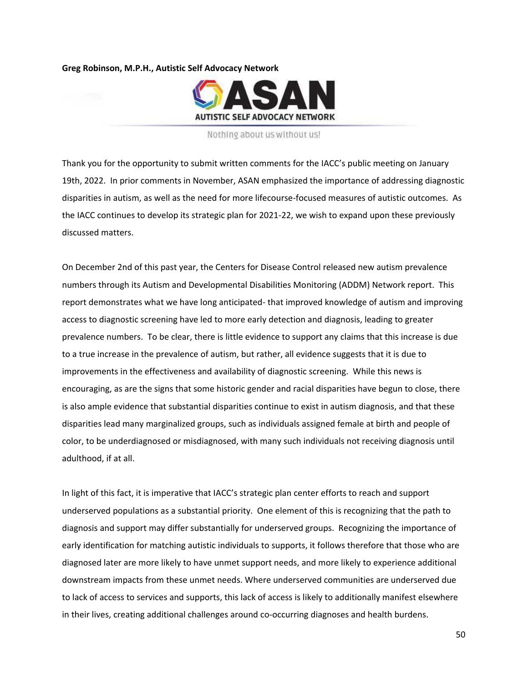<span id="page-49-0"></span>**Greg Robinson, M.P.H., Autistic Self Advocacy Network**



#### Nothing about us without us!

Thank you for the opportunity to submit written comments for the IACC's public meeting on January 19th, 2022. In prior comments in November, ASAN emphasized the importance of addressing diagnostic disparities in autism, as well as the need for more lifecourse-focused measures of autistic outcomes. As the IACC continues to develop its strategic plan for 2021-22, we wish to expand upon these previously discussed matters.

On December 2nd of this past year, the Centers for Disease Control released new autism prevalence numbers through its Autism and Developmental Disabilities Monitoring (ADDM) Network report. This report demonstrates what we have long anticipated- that improved knowledge of autism and improving access to diagnostic screening have led to more early detection and diagnosis, leading to greater prevalence numbers. To be clear, there is little evidence to support any claims that this increase is due to a true increase in the prevalence of autism, but rather, all evidence suggests that it is due to improvements in the effectiveness and availability of diagnostic screening. While this news is encouraging, as are the signs that some historic gender and racial disparities have begun to close, there is also ample evidence that substantial disparities continue to exist in autism diagnosis, and that these disparities lead many marginalized groups, such as individuals assigned female at birth and people of color, to be underdiagnosed or misdiagnosed, with many such individuals not receiving diagnosis until adulthood, if at all.

In light of this fact, it is imperative that IACC's strategic plan center efforts to reach and support underserved populations as a substantial priority. One element of this is recognizing that the path to diagnosis and support may differ substantially for underserved groups. Recognizing the importance of early identification for matching autistic individuals to supports, it follows therefore that those who are diagnosed later are more likely to have unmet support needs, and more likely to experience additional downstream impacts from these unmet needs. Where underserved communities are underserved due to lack of access to services and supports, this lack of access is likely to additionally manifest elsewhere in their lives, creating additional challenges around co-occurring diagnoses and health burdens.

50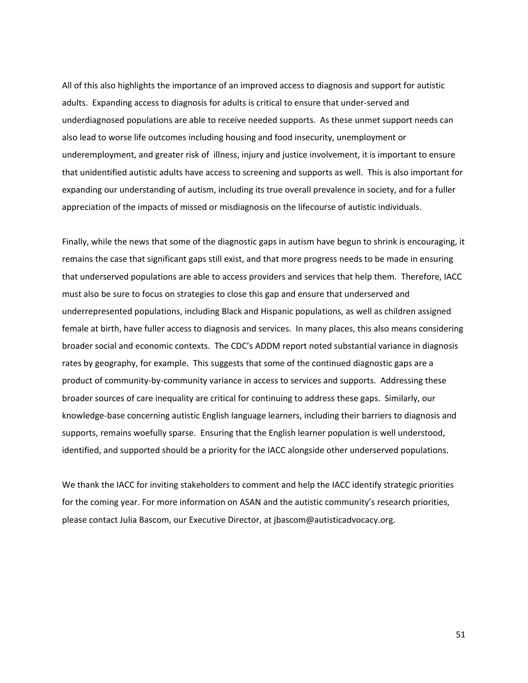All of this also highlights the importance of an improved access to diagnosis and support for autistic adults. Expanding access to diagnosis for adults is critical to ensure that under-served and underdiagnosed populations are able to receive needed supports. As these unmet support needs can also lead to worse life outcomes including housing and food insecurity, unemployment or underemployment, and greater risk of illness, injury and justice involvement, it is important to ensure that unidentified autistic adults have access to screening and supports as well. This is also important for expanding our understanding of autism, including its true overall prevalence in society, and for a fuller appreciation of the impacts of missed or misdiagnosis on the lifecourse of autistic individuals.

Finally, while the news that some of the diagnostic gaps in autism have begun to shrink is encouraging, it remains the case that significant gaps still exist, and that more progress needs to be made in ensuring that underserved populations are able to access providers and services that help them. Therefore, IACC must also be sure to focus on strategies to close this gap and ensure that underserved and underrepresented populations, including Black and Hispanic populations, as well as children assigned female at birth, have fuller access to diagnosis and services. In many places, this also means considering broader social and economic contexts. The CDC's ADDM report noted substantial variance in diagnosis rates by geography, for example. This suggests that some of the continued diagnostic gaps are a product of community-by-community variance in access to services and supports. Addressing these broader sources of care inequality are critical for continuing to address these gaps. Similarly, our knowledge-base concerning autistic English language learners, including their barriers to diagnosis and supports, remains woefully sparse. Ensuring that the English learner population is well understood, identified, and supported should be a priority for the IACC alongside other underserved populations.

We thank the IACC for inviting stakeholders to comment and help the IACC identify strategic priorities for the coming year. For more information on ASAN and the autistic community's research priorities, please contact Julia Bascom, our Executive Director, at jbascom@autisticadvocacy.org.

51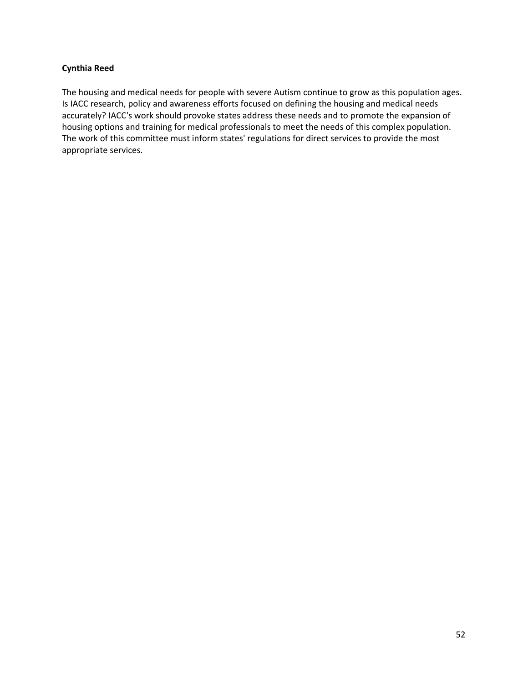# <span id="page-51-0"></span>**Cynthia Reed**

The housing and medical needs for people with severe Autism continue to grow as this population ages. Is IACC research, policy and awareness efforts focused on defining the housing and medical needs accurately? IACC's work should provoke states address these needs and to promote the expansion of housing options and training for medical professionals to meet the needs of this complex population. The work of this committee must inform states' regulations for direct services to provide the most appropriate services.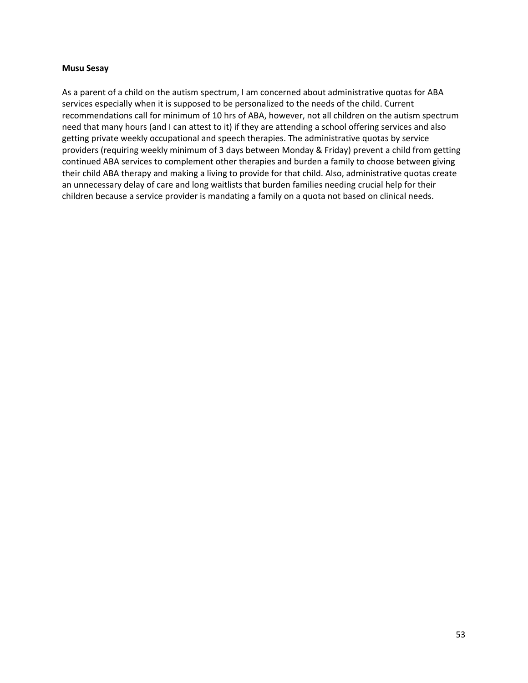#### <span id="page-52-0"></span>**Musu Sesay**

As a parent of a child on the autism spectrum, I am concerned about administrative quotas for ABA services especially when it is supposed to be personalized to the needs of the child. Current recommendations call for minimum of 10 hrs of ABA, however, not all children on the autism spectrum need that many hours (and I can attest to it) if they are attending a school offering services and also getting private weekly occupational and speech therapies. The administrative quotas by service providers (requiring weekly minimum of 3 days between Monday & Friday) prevent a child from getting continued ABA services to complement other therapies and burden a family to choose between giving their child ABA therapy and making a living to provide for that child. Also, administrative quotas create an unnecessary delay of care and long waitlists that burden families needing crucial help for their children because a service provider is mandating a family on a quota not based on clinical needs.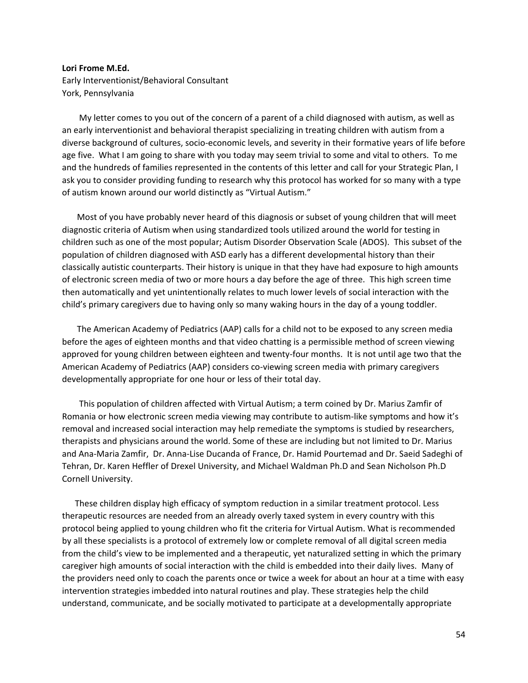#### <span id="page-53-0"></span>**Lori Frome M.Ed.**

Early Interventionist/Behavioral Consultant York, Pennsylvania

 My letter comes to you out of the concern of a parent of a child diagnosed with autism, as well as an early interventionist and behavioral therapist specializing in treating children with autism from a diverse background of cultures, socio-economic levels, and severity in their formative years of life before age five. What I am going to share with you today may seem trivial to some and vital to others. To me and the hundreds of families represented in the contents of this letter and call for your Strategic Plan, I ask you to consider providing funding to research why this protocol has worked for so many with a type of autism known around our world distinctly as "Virtual Autism."

 Most of you have probably never heard of this diagnosis or subset of young children that will meet diagnostic criteria of Autism when using standardized tools utilized around the world for testing in children such as one of the most popular; Autism Disorder Observation Scale (ADOS). This subset of the population of children diagnosed with ASD early has a different developmental history than their classically autistic counterparts. Their history is unique in that they have had exposure to high amounts of electronic screen media of two or more hours a day before the age of three. This high screen time then automatically and yet unintentionally relates to much lower levels of social interaction with the child's primary caregivers due to having only so many waking hours in the day of a young toddler.

 The American Academy of Pediatrics (AAP) calls for a child not to be exposed to any screen media before the ages of eighteen months and that video chatting is a permissible method of screen viewing approved for young children between eighteen and twenty-four months. It is not until age two that the American Academy of Pediatrics (AAP) considers co-viewing screen media with primary caregivers developmentally appropriate for one hour or less of their total day.

 This population of children affected with Virtual Autism; a term coined by Dr. Marius Zamfir of Romania or how electronic screen media viewing may contribute to autism-like symptoms and how it's removal and increased social interaction may help remediate the symptoms is studied by researchers, therapists and physicians around the world. Some of these are including but not limited to Dr. Marius and Ana-Maria Zamfir, Dr. Anna-Lise Ducanda of France, Dr. Hamid Pourtemad and Dr. Saeid Sadeghi of Tehran, Dr. Karen Heffler of Drexel University, and Michael Waldman Ph.D and Sean Nicholson Ph.D Cornell University.

 These children display high efficacy of symptom reduction in a similar treatment protocol. Less therapeutic resources are needed from an already overly taxed system in every country with this protocol being applied to young children who fit the criteria for Virtual Autism. What is recommended by all these specialists is a protocol of extremely low or complete removal of all digital screen media from the child's view to be implemented and a therapeutic, yet naturalized setting in which the primary caregiver high amounts of social interaction with the child is embedded into their daily lives. Many of the providers need only to coach the parents once or twice a week for about an hour at a time with easy intervention strategies imbedded into natural routines and play. These strategies help the child understand, communicate, and be socially motivated to participate at a developmentally appropriate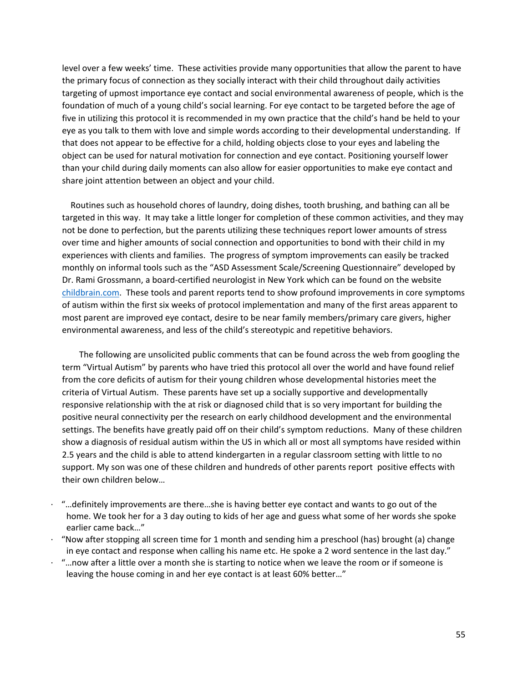level over a few weeks' time. These activities provide many opportunities that allow the parent to have the primary focus of connection as they socially interact with their child throughout daily activities targeting of upmost importance eye contact and social environmental awareness of people, which is the foundation of much of a young child's social learning. For eye contact to be targeted before the age of five in utilizing this protocol it is recommended in my own practice that the child's hand be held to your eye as you talk to them with love and simple words according to their developmental understanding. If that does not appear to be effective for a child, holding objects close to your eyes and labeling the object can be used for natural motivation for connection and eye contact. Positioning yourself lower than your child during daily moments can also allow for easier opportunities to make eye contact and share joint attention between an object and your child.

 Routines such as household chores of laundry, doing dishes, tooth brushing, and bathing can all be targeted in this way. It may take a little longer for completion of these common activities, and they may not be done to perfection, but the parents utilizing these techniques report lower amounts of stress over time and higher amounts of social connection and opportunities to bond with their child in my experiences with clients and families. The progress of symptom improvements can easily be tracked monthly on informal tools such as the "ASD Assessment Scale/Screening Questionnaire" developed by Dr. Rami Grossmann, a board-certified neurologist in New York which can be found on the website [childbrain.com.](http://childbrain.com/) These tools and parent reports tend to show profound improvements in core symptoms of autism within the first six weeks of protocol implementation and many of the first areas apparent to most parent are improved eye contact, desire to be near family members/primary care givers, higher environmental awareness, and less of the child's stereotypic and repetitive behaviors.

 The following are unsolicited public comments that can be found across the web from googling the term "Virtual Autism" by parents who have tried this protocol all over the world and have found relief from the core deficits of autism for their young children whose developmental histories meet the criteria of Virtual Autism. These parents have set up a socially supportive and developmentally responsive relationship with the at risk or diagnosed child that is so very important for building the positive neural connectivity per the research on early childhood development and the environmental settings. The benefits have greatly paid off on their child's symptom reductions. Many of these children show a diagnosis of residual autism within the US in which all or most all symptoms have resided within 2.5 years and the child is able to attend kindergarten in a regular classroom setting with little to no support. My son was one of these children and hundreds of other parents report positive effects with their own children below…

- $\cdot$  "... definitely improvements are there... she is having better eye contact and wants to go out of the home. We took her for a 3 day outing to kids of her age and guess what some of her words she spoke earlier came back…"
- · "Now after stopping all screen time for 1 month and sending him a preschool (has) brought (a) change in eye contact and response when calling his name etc. He spoke a 2 word sentence in the last day."
- · "…now after a little over a month she is starting to notice when we leave the room or if someone is leaving the house coming in and her eye contact is at least 60% better…"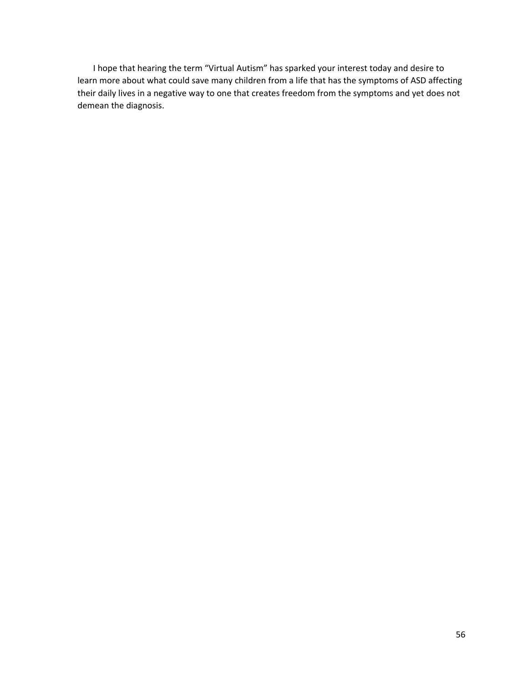I hope that hearing the term "Virtual Autism" has sparked your interest today and desire to learn more about what could save many children from a life that has the symptoms of ASD affecting their daily lives in a negative way to one that creates freedom from the symptoms and yet does not demean the diagnosis.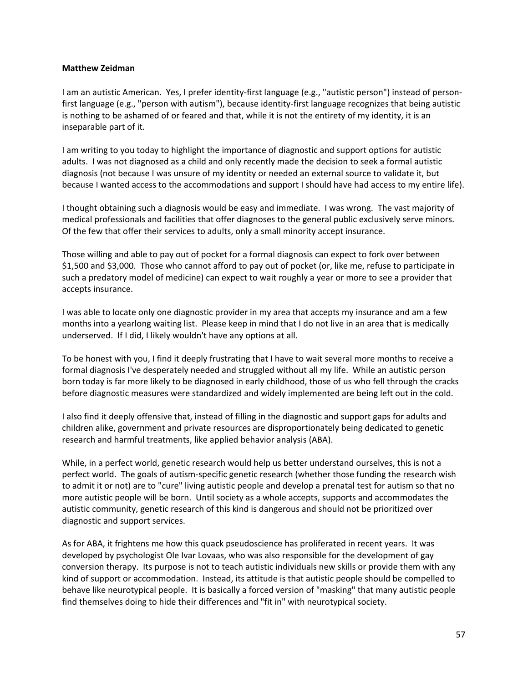## <span id="page-56-0"></span>**Matthew Zeidman**

I am an autistic American. Yes, I prefer identity-first language (e.g., "autistic person") instead of personfirst language (e.g., "person with autism"), because identity-first language recognizes that being autistic is nothing to be ashamed of or feared and that, while it is not the entirety of my identity, it is an inseparable part of it.

I am writing to you today to highlight the importance of diagnostic and support options for autistic adults. I was not diagnosed as a child and only recently made the decision to seek a formal autistic diagnosis (not because I was unsure of my identity or needed an external source to validate it, but because I wanted access to the accommodations and support I should have had access to my entire life).

I thought obtaining such a diagnosis would be easy and immediate. I was wrong. The vast majority of medical professionals and facilities that offer diagnoses to the general public exclusively serve minors. Of the few that offer their services to adults, only a small minority accept insurance.

Those willing and able to pay out of pocket for a formal diagnosis can expect to fork over between \$1,500 and \$3,000. Those who cannot afford to pay out of pocket (or, like me, refuse to participate in such a predatory model of medicine) can expect to wait roughly a year or more to see a provider that accepts insurance.

I was able to locate only one diagnostic provider in my area that accepts my insurance and am a few months into a yearlong waiting list. Please keep in mind that I do not live in an area that is medically underserved. If I did, I likely wouldn't have any options at all.

To be honest with you, I find it deeply frustrating that I have to wait several more months to receive a formal diagnosis I've desperately needed and struggled without all my life. While an autistic person born today is far more likely to be diagnosed in early childhood, those of us who fell through the cracks before diagnostic measures were standardized and widely implemented are being left out in the cold.

I also find it deeply offensive that, instead of filling in the diagnostic and support gaps for adults and children alike, government and private resources are disproportionately being dedicated to genetic research and harmful treatments, like applied behavior analysis (ABA).

While, in a perfect world, genetic research would help us better understand ourselves, this is not a perfect world. The goals of autism-specific genetic research (whether those funding the research wish to admit it or not) are to "cure" living autistic people and develop a prenatal test for autism so that no more autistic people will be born. Until society as a whole accepts, supports and accommodates the autistic community, genetic research of this kind is dangerous and should not be prioritized over diagnostic and support services.

As for ABA, it frightens me how this quack pseudoscience has proliferated in recent years. It was developed by psychologist Ole Ivar Lovaas, who was also responsible for the development of gay conversion therapy. Its purpose is not to teach autistic individuals new skills or provide them with any kind of support or accommodation. Instead, its attitude is that autistic people should be compelled to behave like neurotypical people. It is basically a forced version of "masking" that many autistic people find themselves doing to hide their differences and "fit in" with neurotypical society.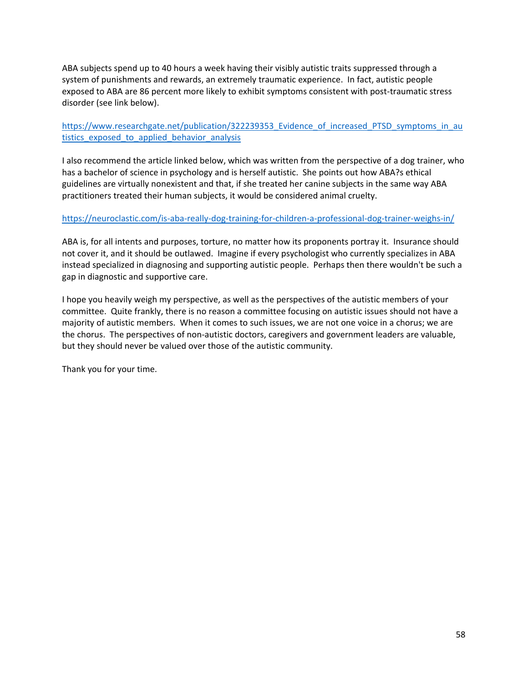ABA subjects spend up to 40 hours a week having their visibly autistic traits suppressed through a system of punishments and rewards, an extremely traumatic experience. In fact, autistic people exposed to ABA are 86 percent more likely to exhibit symptoms consistent with post-traumatic stress disorder (see link below).

[https://www.researchgate.net/publication/322239353\\_Evidence\\_of\\_increased\\_PTSD\\_symptoms\\_in\\_au](https://www.researchgate.net/publication/322239353_Evidence_of_increased_PTSD_symptoms_in_autistics_exposed_to_applied_behavior_analysis) tistics exposed to applied behavior analysis

I also recommend the article linked below, which was written from the perspective of a dog trainer, who has a bachelor of science in psychology and is herself autistic. She points out how ABA?s ethical guidelines are virtually nonexistent and that, if she treated her canine subjects in the same way ABA practitioners treated their human subjects, it would be considered animal cruelty.

# <https://neuroclastic.com/is-aba-really-dog-training-for-children-a-professional-dog-trainer-weighs-in/>

ABA is, for all intents and purposes, torture, no matter how its proponents portray it. Insurance should not cover it, and it should be outlawed. Imagine if every psychologist who currently specializes in ABA instead specialized in diagnosing and supporting autistic people. Perhaps then there wouldn't be such a gap in diagnostic and supportive care.

I hope you heavily weigh my perspective, as well as the perspectives of the autistic members of your committee. Quite frankly, there is no reason a committee focusing on autistic issues should not have a majority of autistic members. When it comes to such issues, we are not one voice in a chorus; we are the chorus. The perspectives of non-autistic doctors, caregivers and government leaders are valuable, but they should never be valued over those of the autistic community.

Thank you for your time.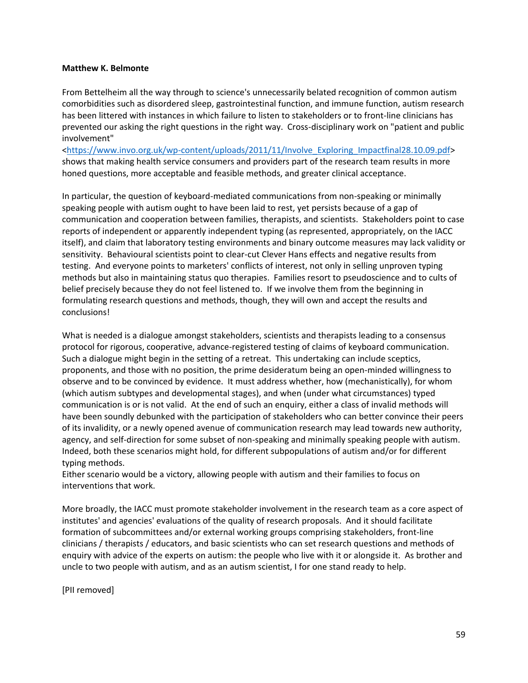#### <span id="page-58-0"></span>**Matthew K. Belmonte**

From Bettelheim all the way through to science's unnecessarily belated recognition of common autism comorbidities such as disordered sleep, gastrointestinal function, and immune function, autism research has been littered with instances in which failure to listen to stakeholders or to front-line clinicians has prevented our asking the right questions in the right way. Cross-disciplinary work on "patient and public involvement"

[<https://www.invo.org.uk/wp-content/uploads/2011/11/Involve\\_Exploring\\_Impactfinal28.10.09.pdf>](https://www.invo.org.uk/wp-content/uploads/2011/11/Involve_Exploring_Impactfinal28.10.09.pdf) shows that making health service consumers and providers part of the research team results in more honed questions, more acceptable and feasible methods, and greater clinical acceptance.

In particular, the question of keyboard-mediated communications from non-speaking or minimally speaking people with autism ought to have been laid to rest, yet persists because of a gap of communication and cooperation between families, therapists, and scientists. Stakeholders point to case reports of independent or apparently independent typing (as represented, appropriately, on the IACC itself), and claim that laboratory testing environments and binary outcome measures may lack validity or sensitivity. Behavioural scientists point to clear-cut Clever Hans effects and negative results from testing. And everyone points to marketers' conflicts of interest, not only in selling unproven typing methods but also in maintaining status quo therapies. Families resort to pseudoscience and to cults of belief precisely because they do not feel listened to. If we involve them from the beginning in formulating research questions and methods, though, they will own and accept the results and conclusions!

What is needed is a dialogue amongst stakeholders, scientists and therapists leading to a consensus protocol for rigorous, cooperative, advance-registered testing of claims of keyboard communication. Such a dialogue might begin in the setting of a retreat. This undertaking can include sceptics, proponents, and those with no position, the prime desideratum being an open-minded willingness to observe and to be convinced by evidence. It must address whether, how (mechanistically), for whom (which autism subtypes and developmental stages), and when (under what circumstances) typed communication is or is not valid. At the end of such an enquiry, either a class of invalid methods will have been soundly debunked with the participation of stakeholders who can better convince their peers of its invalidity, or a newly opened avenue of communication research may lead towards new authority, agency, and self-direction for some subset of non-speaking and minimally speaking people with autism. Indeed, both these scenarios might hold, for different subpopulations of autism and/or for different typing methods.

Either scenario would be a victory, allowing people with autism and their families to focus on interventions that work.

More broadly, the IACC must promote stakeholder involvement in the research team as a core aspect of institutes' and agencies' evaluations of the quality of research proposals. And it should facilitate formation of subcommittees and/or external working groups comprising stakeholders, front-line clinicians / therapists / educators, and basic scientists who can set research questions and methods of enquiry with advice of the experts on autism: the people who live with it or alongside it. As brother and uncle to two people with autism, and as an autism scientist, I for one stand ready to help.

[PII removed]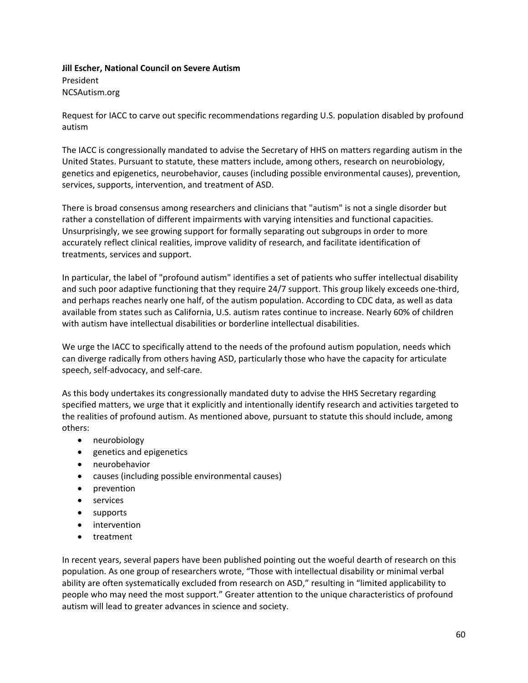<span id="page-59-0"></span>**Jill Escher, National Council on Severe Autism** President NCSAutism.org

Request for IACC to carve out specific recommendations regarding U.S. population disabled by profound autism

The IACC is congressionally mandated to advise the Secretary of HHS on matters regarding autism in the United States. Pursuant to statute, these matters include, among others, research on neurobiology, genetics and epigenetics, neurobehavior, causes (including possible environmental causes), prevention, services, supports, intervention, and treatment of ASD.

There is broad consensus among researchers and clinicians that "autism" is not a single disorder but rather a constellation of different impairments with varying intensities and functional capacities. Unsurprisingly, we see growing support for formally separating out subgroups in order to more accurately reflect clinical realities, improve validity of research, and facilitate identification of treatments, services and support.

In particular, the label of "profound autism" identifies a set of patients who suffer intellectual disability and such poor adaptive functioning that they require 24/7 support. This group likely exceeds one-third, and perhaps reaches nearly one half, of the autism population. According to CDC data, as well as data available from states such as California, U.S. autism rates continue to increase. Nearly 60% of children with autism have intellectual disabilities or borderline intellectual disabilities.

We urge the IACC to specifically attend to the needs of the profound autism population, needs which can diverge radically from others having ASD, particularly those who have the capacity for articulate speech, self-advocacy, and self-care.

As this body undertakes its congressionally mandated duty to advise the HHS Secretary regarding specified matters, we urge that it explicitly and intentionally identify research and activities targeted to the realities of profound autism. As mentioned above, pursuant to statute this should include, among others:

- neurobiology
- genetics and epigenetics
- neurobehavior
- causes (including possible environmental causes)
- prevention
- services
- supports
- intervention
- treatment

In recent years, several papers have been published pointing out the woeful dearth of research on this population. As one group of researchers wrote, "Those with intellectual disability or minimal verbal ability are often systematically excluded from research on ASD," resulting in "limited applicability to people who may need the most support." Greater attention to the unique characteristics of profound autism will lead to greater advances in science and society.